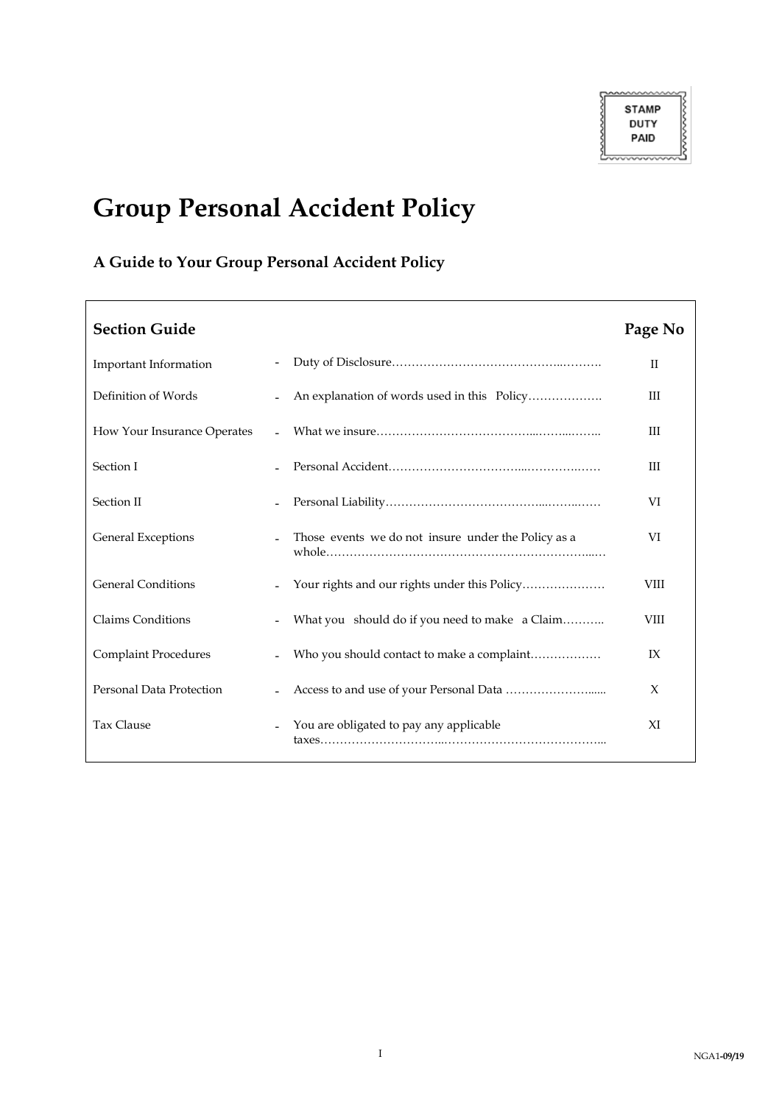┑

# **Group Personal Accident Policy**

## **A Guide to Your Group Personal Accident Policy**

Г

| <b>Section Guide</b>            |                |                                                     | Page No      |
|---------------------------------|----------------|-----------------------------------------------------|--------------|
| Important Information           |                |                                                     | $\mathbf{H}$ |
| Definition of Words             |                | An explanation of words used in this Policy         | ΠI           |
| How Your Insurance Operates     | $\blacksquare$ |                                                     | Ш            |
| Section I                       |                |                                                     | Ш            |
| Section II                      |                |                                                     | VI           |
| <b>General Exceptions</b>       |                | Those events we do not insure under the Policy as a | VI           |
| <b>General Conditions</b>       |                |                                                     | VIII         |
| <b>Claims Conditions</b>        |                | What you should do if you need to make a Claim      | VIII         |
| <b>Complaint Procedures</b>     |                | Who you should contact to make a complaint          | IX           |
| <b>Personal Data Protection</b> |                |                                                     | X            |
| Tax Clause                      |                | You are obligated to pay any applicable             | XI           |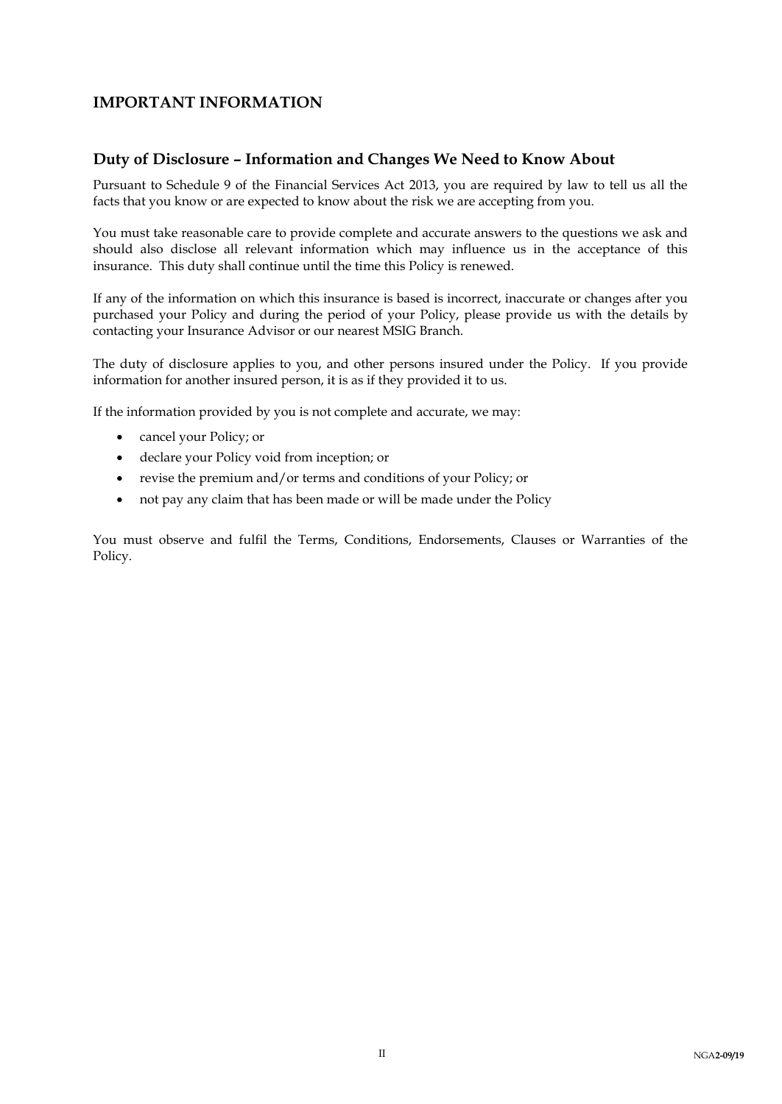### **IMPORTANT INFORMATION**

### **Duty of Disclosure – Information and Changes We Need to Know About**

Pursuant to Schedule 9 of the Financial Services Act 2013, you are required by law to tell us all the facts that you know or are expected to know about the risk we are accepting from you.

You must take reasonable care to provide complete and accurate answers to the questions we ask and should also disclose all relevant information which may influence us in the acceptance of this insurance. This duty shall continue until the time this Policy is renewed.

If any of the information on which this insurance is based is incorrect, inaccurate or changes after you purchased your Policy and during the period of your Policy, please provide us with the details by contacting your Insurance Advisor or our nearest MSIG Branch.

The duty of disclosure applies to you, and other persons insured under the Policy. If you provide information for another insured person, it is as if they provided it to us.

If the information provided by you is not complete and accurate, we may:

- cancel your Policy; or
- declare your Policy void from inception; or
- revise the premium and/or terms and conditions of your Policy; or
- not pay any claim that has been made or will be made under the Policy

You must observe and fulfil the Terms, Conditions, Endorsements, Clauses or Warranties of the Policy.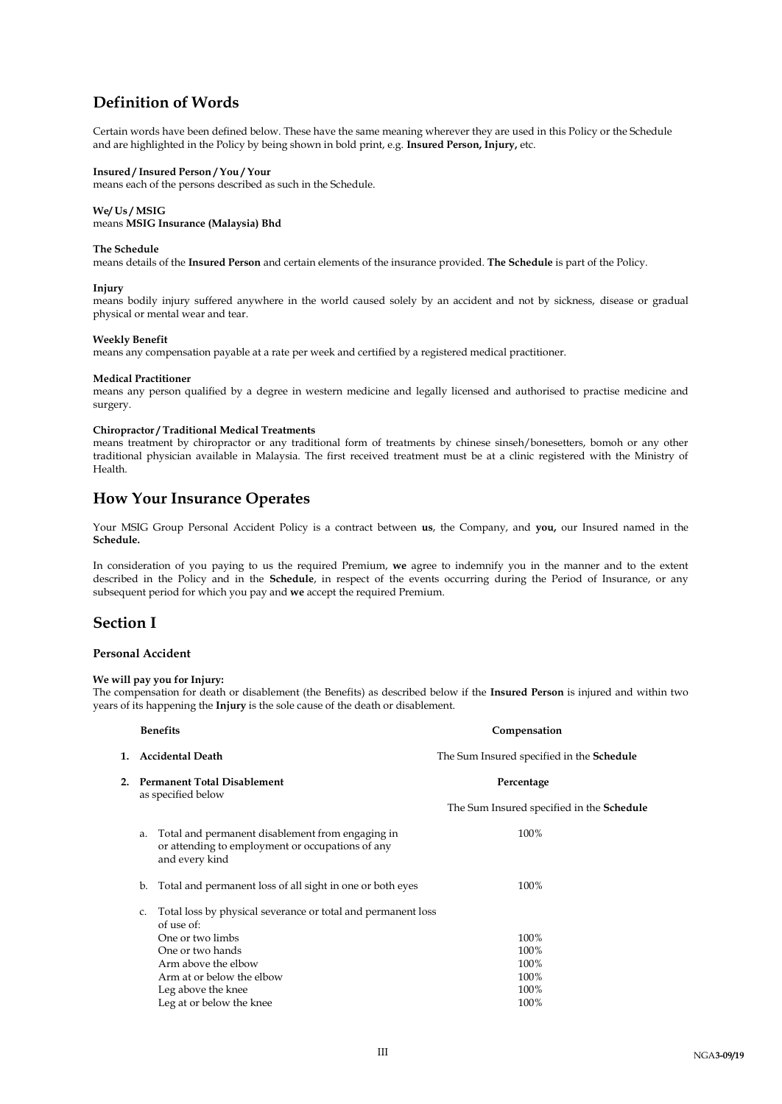### **Definition of Words**

Certain words have been defined below. These have the same meaning wherever they are used in this Policy or the Schedule and are highlighted in the Policy by being shown in bold print, e.g. **Insured Person, Injury,** etc.

#### **Insured / Insured Person / You / Your**

means each of the persons described as such in the Schedule.

#### **We/ Us / MSIG**

means **MSIG Insurance (Malaysia) Bhd**

#### **The Schedule**

means details of the **Insured Person** and certain elements of the insurance provided. **The Schedule** is part of the Policy.

#### **Injury**

means bodily injury suffered anywhere in the world caused solely by an accident and not by sickness, disease or gradual physical or mental wear and tear.

#### **Weekly Benefit**

means any compensation payable at a rate per week and certified by a registered medical practitioner.

#### **Medical Practitioner**

means any person qualified by a degree in western medicine and legally licensed and authorised to practise medicine and surgery.

#### **Chiropractor / Traditional Medical Treatments**

means treatment by chiropractor or any traditional form of treatments by chinese sinseh/bonesetters, bomoh or any other traditional physician available in Malaysia. The first received treatment must be at a clinic registered with the Ministry of Health.

### **How Your Insurance Operates**

Your MSIG Group Personal Accident Policy is a contract between **us**, the Company, and **you,** our Insured named in the **Schedule.**

In consideration of you paying to us the required Premium, **we** agree to indemnify you in the manner and to the extent described in the Policy and in the **Schedule**, in respect of the events occurring during the Period of Insurance, or any subsequent period for which you pay and **we** accept the required Premium.

### **Section I**

#### **Personal Accident**

### **We will pay you for Injury:**

The compensation for death or disablement (the Benefits) as described below if the **Insured Person** is injured and within two years of its happening the **Injury** is the sole cause of the death or disablement.

|    |                                                          | <b>Benefits</b>                                                                                                                           | Compensation                                     |
|----|----------------------------------------------------------|-------------------------------------------------------------------------------------------------------------------------------------------|--------------------------------------------------|
| 1. |                                                          | <b>Accidental Death</b>                                                                                                                   | The Sum Insured specified in the <b>Schedule</b> |
| 2. | <b>Permanent Total Disablement</b><br>as specified below |                                                                                                                                           | Percentage                                       |
|    |                                                          |                                                                                                                                           | The Sum Insured specified in the <b>Schedule</b> |
|    | a.                                                       | Total and permanent disablement from engaging in<br>or attending to employment or occupations of any<br>and every kind                    | 100%                                             |
|    | b.                                                       | Total and permanent loss of all sight in one or both eyes                                                                                 | 100%                                             |
|    | C.                                                       | Total loss by physical severance or total and permanent loss<br>of use of:<br>One or two limbs<br>One or two hands<br>Arm above the elbow | 100%<br>100%<br>100%                             |
|    |                                                          | Arm at or below the elbow<br>Leg above the knee                                                                                           | 100%<br>100%                                     |
|    |                                                          | Leg at or below the knee                                                                                                                  | 100%                                             |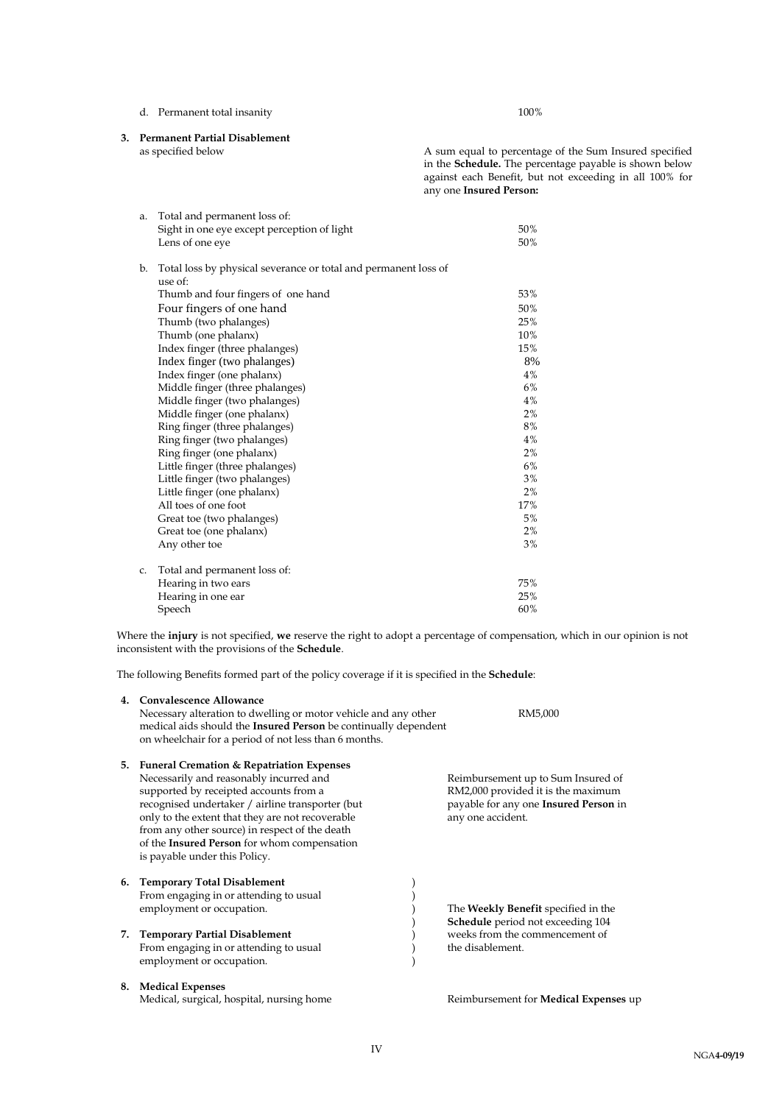### d. Permanent total insanity 100%

**3. Permanent Partial Disablement**

A sum equal to percentage of the Sum Insured specified in the **Schedule.** The percentage payable is shown below against each Benefit, but not exceeding in all 100% for any one **Insured Person:**

| a. | Total and permanent loss of:                                    |     |
|----|-----------------------------------------------------------------|-----|
|    | Sight in one eye except perception of light                     | 50% |
|    | Lens of one eye                                                 | 50% |
| b. | Total loss by physical severance or total and permanent loss of |     |
|    | use of <sup>2</sup>                                             |     |
|    | Thumb and four fingers of one hand                              | 53% |
|    | Four fingers of one hand                                        | 50% |
|    | Thumb (two phalanges)                                           | 25% |
|    | Thumb (one phalanx)                                             | 10% |
|    | Index finger (three phalanges)                                  | 15% |
|    | Index finger (two phalanges)                                    | 8%  |
|    | Index finger (one phalanx)                                      | 4%  |
|    | Middle finger (three phalanges)                                 | 6%  |
|    | Middle finger (two phalanges)                                   | 4%  |
|    | Middle finger (one phalanx)                                     | 2%  |
|    | Ring finger (three phalanges)                                   | 8%  |
|    | Ring finger (two phalanges)                                     | 4%  |
|    | Ring finger (one phalanx)                                       | 2%  |
|    | Little finger (three phalanges)                                 | 6%  |
|    | Little finger (two phalanges)                                   | 3%  |
|    | Little finger (one phalanx)                                     | 2%  |
|    | All toes of one foot                                            | 17% |
|    | Great toe (two phalanges)                                       | 5%  |
|    | Great toe (one phalanx)                                         | 2%  |
|    | Any other toe                                                   | 3%  |
| C. | Total and permanent loss of:                                    |     |
|    | Hearing in two ears                                             | 75% |
|    | Hearing in one ear                                              | 25% |
|    | Speech                                                          | 60% |
|    |                                                                 |     |

Where the **injury** is not specified, **we** reserve the right to adopt a percentage of compensation, which in our opinion is not inconsistent with the provisions of the **Schedule**.

The following Benefits formed part of the policy coverage if it is specified in the **Schedule**:

| 4. | Convalescence Allowance<br>Necessary alteration to dwelling or motor vehicle and any other<br>medical aids should the Insured Person be continually dependent<br>on wheelchair for a period of not less than 6 months.                                                                                                                                                      | RM5,000                                                                                                                                |
|----|-----------------------------------------------------------------------------------------------------------------------------------------------------------------------------------------------------------------------------------------------------------------------------------------------------------------------------------------------------------------------------|----------------------------------------------------------------------------------------------------------------------------------------|
|    | 5. Funeral Cremation & Repatriation Expenses<br>Necessarily and reasonably incurred and<br>supported by receipted accounts from a<br>recognised undertaker / airline transporter (but<br>only to the extent that they are not recoverable<br>from any other source) in respect of the death<br>of the Insured Person for whom compensation<br>is payable under this Policy. | Reimbursement up to Sum Insured of<br>RM2,000 provided it is the maximum<br>payable for any one Insured Person in<br>any one accident. |
| 7. | 6. Temporary Total Disablement<br>From engaging in or attending to usual<br>employment or occupation.<br><b>Temporary Partial Disablement</b><br>From engaging in or attending to usual<br>employment or occupation.                                                                                                                                                        | The Weekly Benefit specified in the<br><b>Schedule</b> period not exceeding 104<br>weeks from the commencement of<br>the disablement.  |
| 8. | <b>Medical Expenses</b>                                                                                                                                                                                                                                                                                                                                                     |                                                                                                                                        |

Medical, surgical, hospital, nursing home **Redical Expenses** up Reimbursement for **Medical Expenses** up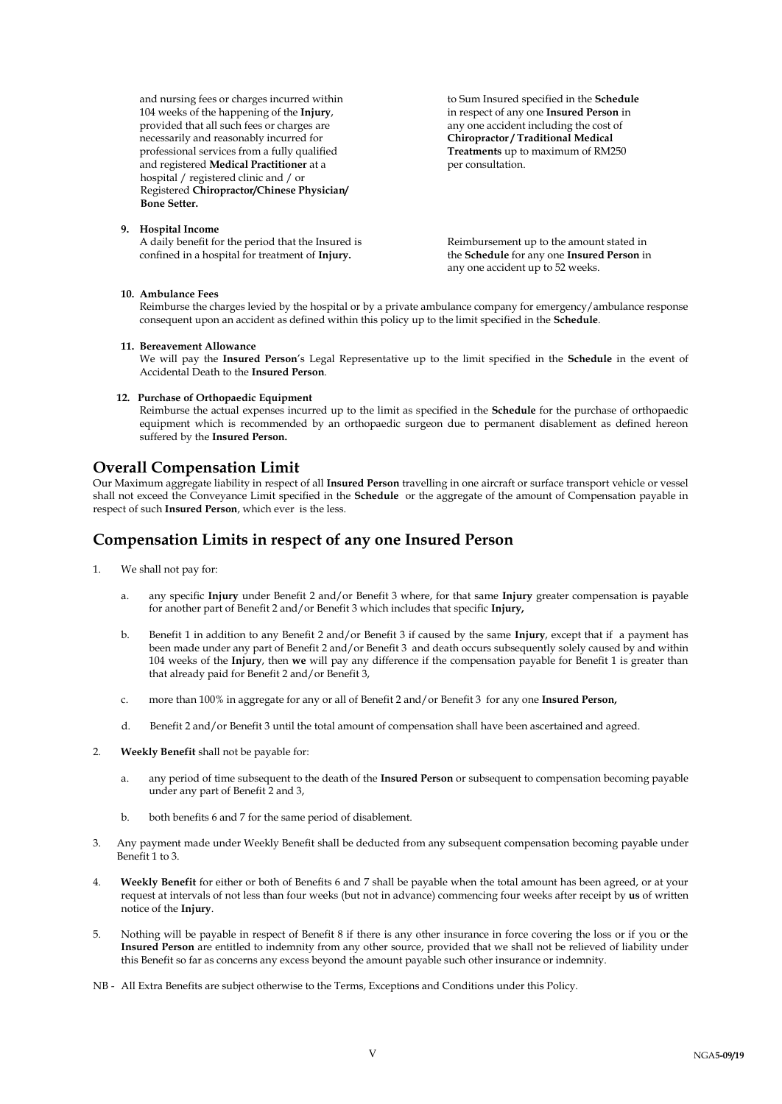and nursing fees or charges incurred within to Sum Insured specified in the **Schedule** 104 weeks of the happening of the **Injury**, in respect of any one **Insured Person** in provided that all such fees or charges are any one accident including the cost of necessarily and reasonably incurred for **Chiropractor / Traditional Medical** necessarily and reasonably incurred for **Chiropractor / Traditional Medical**<br>professional services from a fully qualified **Chiropractor** *Treatments* up to maximum of RM250 professional services from a fully qualified and registered **Medical Practitioner** at a per consultation. hospital / registered clinic and / or Registered **Chiropractor/Chinese Physician/ Bone Setter.**

#### **9. Hospital Income**

A daily benefit for the period that the Insured is<br>  $R$  Reimbursement up to the amount stated in<br>  $R$  the **Schedule** for any one **Insured Person** in

the **Schedule** for any one **Insured Person** in any one accident up to 52 weeks.

#### **10. Ambulance Fees**

Reimburse the charges levied by the hospital or by a private ambulance company for emergency/ambulance response consequent upon an accident as defined within this policy up to the limit specified in the **Schedule**.

#### **11. Bereavement Allowance**

We will pay the **Insured Person**'s Legal Representative up to the limit specified in the **Schedule** in the event of Accidental Death to the **Insured Person**.

#### **12. Purchase of Orthopaedic Equipment**

Reimburse the actual expenses incurred up to the limit as specified in the **Schedule** for the purchase of orthopaedic equipment which is recommended by an orthopaedic surgeon due to permanent disablement as defined hereon suffered by the **Insured Person.**

### **Overall Compensation Limit**

Our Maximum aggregate liability in respect of all **Insured Person** travelling in one aircraft or surface transport vehicle or vessel shall not exceed the Conveyance Limit specified in the **Schedule** or the aggregate of the amount of Compensation payable in respect of such **Insured Person**, which ever is the less.

### **Compensation Limits in respect of any one Insured Person**

- 1. We shall not pay for:
	- a. any specific **Injury** under Benefit 2 and/or Benefit 3 where, for that same **Injury** greater compensation is payable for another part of Benefit 2 and/or Benefit 3 which includes that specific **Injury,**
	- b. Benefit 1 in addition to any Benefit 2 and/or Benefit 3 if caused by the same **Injury**, except that if a payment has been made under any part of Benefit 2 and/or Benefit 3 and death occurs subsequently solely caused by and within 104 weeks of the **Injury**, then **we** will pay any difference if the compensation payable for Benefit 1 is greater than that already paid for Benefit 2 and/or Benefit 3,
	- c. more than 100% in aggregate for any or all of Benefit 2 and/or Benefit 3 for any one **Insured Person,**
	- d. Benefit 2 and/or Benefit 3 until the total amount of compensation shall have been ascertained and agreed.
- 2. **Weekly Benefit** shall not be payable for:
	- a. any period of time subsequent to the death of the **Insured Person** or subsequent to compensation becoming payable under any part of Benefit 2 and 3,
	- b. both benefits 6 and 7 for the same period of disablement.
- 3. Any payment made under Weekly Benefit shall be deducted from any subsequent compensation becoming payable under Benefit 1 to 3.
- 4. **Weekly Benefit** for either or both of Benefits 6 and 7 shall be payable when the total amount has been agreed, or at your request at intervals of not less than four weeks (but not in advance) commencing four weeks after receipt by **us** of written notice of the **Injury**.
- 5. Nothing will be payable in respect of Benefit 8 if there is any other insurance in force covering the loss or if you or the **Insured Person** are entitled to indemnity from any other source, provided that we shall not be relieved of liability under this Benefit so far as concerns any excess beyond the amount payable such other insurance or indemnity.
- NB All Extra Benefits are subject otherwise to the Terms, Exceptions and Conditions under this Policy.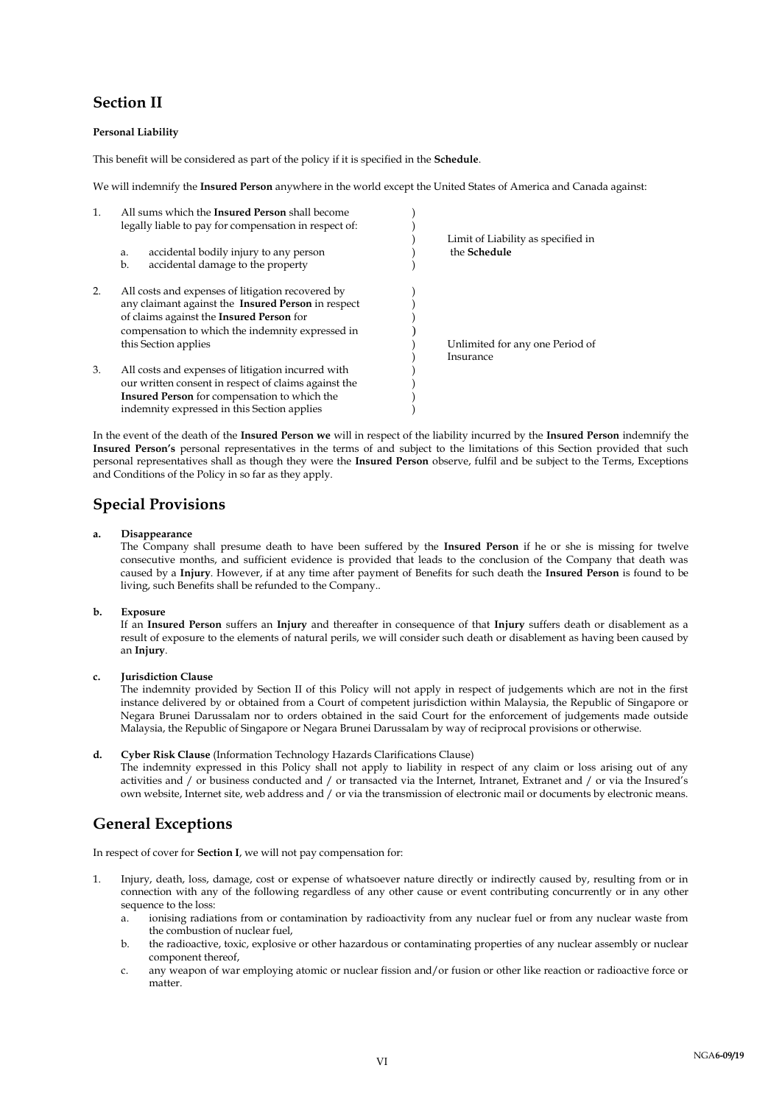### **Section II**

#### **Personal Liability**

This benefit will be considered as part of the policy if it is specified in the **Schedule**.

We will indemnify the **Insured Person** anywhere in the world except the United States of America and Canada against:

| $\mathbf{1}$ . | All sums which the <b>Insured Person</b> shall become<br>legally liable to pay for compensation in respect of:                                                                                                   | Limit of Liability as specified in           |
|----------------|------------------------------------------------------------------------------------------------------------------------------------------------------------------------------------------------------------------|----------------------------------------------|
|                | accidental bodily injury to any person<br>a.<br>accidental damage to the property<br>b.                                                                                                                          | the Schedule                                 |
| 2.             | All costs and expenses of litigation recovered by<br>any claimant against the Insured Person in respect<br>of claims against the Insured Person for<br>compensation to which the indemnity expressed in          |                                              |
|                | this Section applies                                                                                                                                                                                             | Unlimited for any one Period of<br>Insurance |
| 3.             | All costs and expenses of litigation incurred with<br>our written consent in respect of claims against the<br><b>Insured Person</b> for compensation to which the<br>indemnity expressed in this Section applies |                                              |

In the event of the death of the **Insured Person we** will in respect of the liability incurred by the **Insured Person** indemnify the **Insured Person's** personal representatives in the terms of and subject to the limitations of this Section provided that such personal representatives shall as though they were the **Insured Person** observe, fulfil and be subject to the Terms, Exceptions and Conditions of the Policy in so far as they apply.

### **Special Provisions**

#### **a. Disappearance**

The Company shall presume death to have been suffered by the **Insured Person** if he or she is missing for twelve consecutive months, and sufficient evidence is provided that leads to the conclusion of the Company that death was caused by a **Injury**. However, if at any time after payment of Benefits for such death the **Insured Person** is found to be living, such Benefits shall be refunded to the Company..

#### **b. Exposure**

If an **Insured Person** suffers an **Injury** and thereafter in consequence of that **Injury** suffers death or disablement as a result of exposure to the elements of natural perils, we will consider such death or disablement as having been caused by an **Injury**.

#### **c. Jurisdiction Clause**

The indemnity provided by Section II of this Policy will not apply in respect of judgements which are not in the first instance delivered by or obtained from a Court of competent jurisdiction within Malaysia, the Republic of Singapore or Negara Brunei Darussalam nor to orders obtained in the said Court for the enforcement of judgements made outside Malaysia, the Republic of Singapore or Negara Brunei Darussalam by way of reciprocal provisions or otherwise.

#### **d. Cyber Risk Clause** (Information Technology Hazards Clarifications Clause)

The indemnity expressed in this Policy shall not apply to liability in respect of any claim or loss arising out of any activities and / or business conducted and / or transacted via the Internet, Intranet, Extranet and / or via the Insured's own website, Internet site, web address and / or via the transmission of electronic mail or documents by electronic means.

### **General Exceptions**

In respect of cover for **Section I**, we will not pay compensation for:

- 1. Injury, death, loss, damage, cost or expense of whatsoever nature directly or indirectly caused by, resulting from or in connection with any of the following regardless of any other cause or event contributing concurrently or in any other sequence to the loss:
	- a. ionising radiations from or contamination by radioactivity from any nuclear fuel or from any nuclear waste from the combustion of nuclear fuel,
	- b. the radioactive, toxic, explosive or other hazardous or contaminating properties of any nuclear assembly or nuclear component thereof,
	- c. any weapon of war employing atomic or nuclear fission and/or fusion or other like reaction or radioactive force or matter.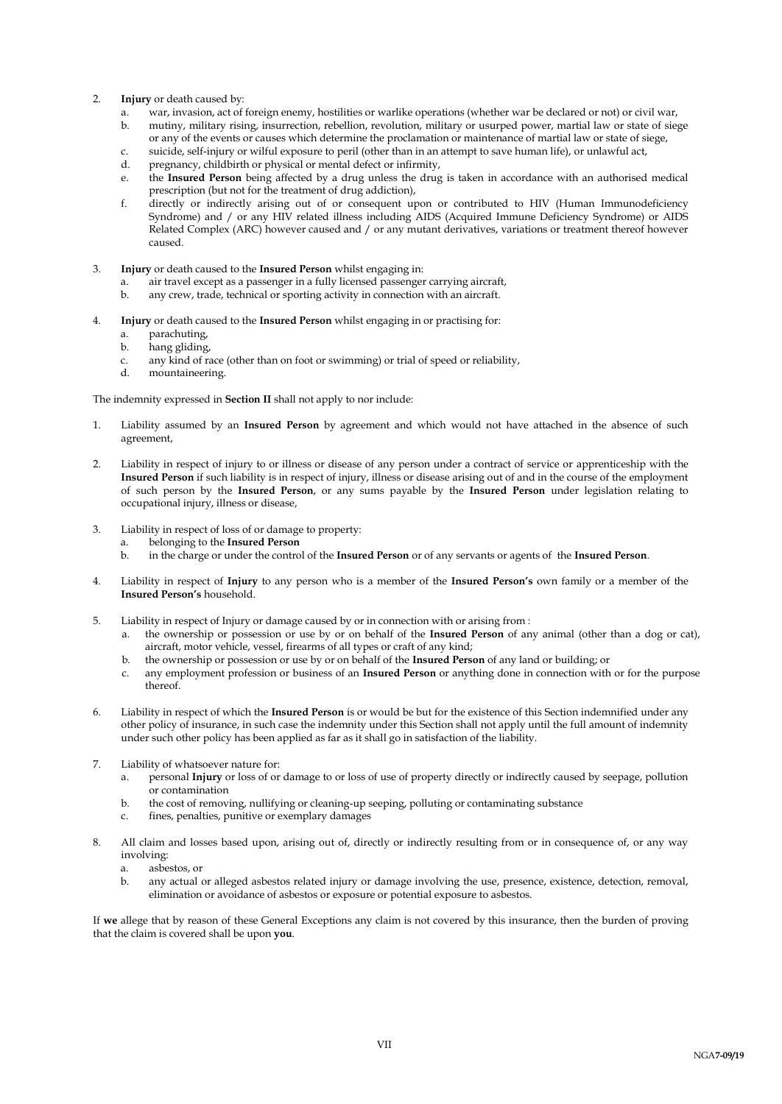- 2. **Injury** or death caused by:
	- a. war, invasion, act of foreign enemy, hostilities or warlike operations (whether war be declared or not) or civil war, b. mutiny, military rising, insurrection, rebellion, revolution, military or usurped power, martial law or state of siege or any of the events or causes which determine the proclamation or maintenance of martial law or state of siege,
	- c. suicide, self-injury or wilful exposure to peril (other than in an attempt to save human life), or unlawful act,
	- d. pregnancy, childbirth or physical or mental defect or infirmity,
	- e. the **Insured Person** being affected by a drug unless the drug is taken in accordance with an authorised medical prescription (but not for the treatment of drug addiction),
	- f. directly or indirectly arising out of or consequent upon or contributed to HIV (Human Immunodeficiency Syndrome) and / or any HIV related illness including AIDS (Acquired Immune Deficiency Syndrome) or AIDS Related Complex (ARC) however caused and / or any mutant derivatives, variations or treatment thereof however caused.
- 3. **Injury** or death caused to the **Insured Person** whilst engaging in:
	- a. air travel except as a passenger in a fully licensed passenger carrying aircraft, b. any crew, trade, technical or sporting activity in connection with an aircraft.
	- any crew, trade, technical or sporting activity in connection with an aircraft.
- 4. **Injury** or death caused to the **Insured Person** whilst engaging in or practising for:
	- a. parachuting,
	- b. hang gliding,
	- c. any kind of race (other than on foot or swimming) or trial of speed or reliability,
	- d. mountaineering.

The indemnity expressed in **Section II** shall not apply to nor include:

- 1. Liability assumed by an **Insured Person** by agreement and which would not have attached in the absence of such agreement,
- 2. Liability in respect of injury to or illness or disease of any person under a contract of service or apprenticeship with the **Insured Person** if such liability is in respect of injury, illness or disease arising out of and in the course of the employment of such person by the **Insured Person**, or any sums payable by the **Insured Person** under legislation relating to occupational injury, illness or disease,
- 3. Liability in respect of loss of or damage to property:
	- a. belonging to the **Insured Person**
		- b. in the charge or under the control of the **Insured Person** or of any servants or agents of the **Insured Person**.
- 4. Liability in respect of **Injury** to any person who is a member of the **Insured Person's** own family or a member of the **Insured Person's** household.
- 5. Liability in respect of Injury or damage caused by or in connection with or arising from :
	- a. the ownership or possession or use by or on behalf of the **Insured Person** of any animal (other than a dog or cat), aircraft, motor vehicle, vessel, firearms of all types or craft of any kind;
	- b. the ownership or possession or use by or on behalf of the **Insured Person** of any land or building; or
	- c. any employment profession or business of an **Insured Person** or anything done in connection with or for the purpose thereof.
- 6. Liability in respect of which the **Insured Person** is or would be but for the existence of this Section indemnified under any other policy of insurance, in such case the indemnity under this Section shall not apply until the full amount of indemnity under such other policy has been applied as far as it shall go in satisfaction of the liability.
- 7. Liability of whatsoever nature for:
	- a. personal **Injury** or loss of or damage to or loss of use of property directly or indirectly caused by seepage, pollution or contamination
	- b. the cost of removing, nullifying or cleaning-up seeping, polluting or contaminating substance
	- c. fines, penalties, punitive or exemplary damages
- 8. All claim and losses based upon, arising out of, directly or indirectly resulting from or in consequence of, or any way involving:
	- a. asbestos, or
	- b. any actual or alleged asbestos related injury or damage involving the use, presence, existence, detection, removal, elimination or avoidance of asbestos or exposure or potential exposure to asbestos.

If **we** allege that by reason of these General Exceptions any claim is not covered by this insurance, then the burden of proving that the claim is covered shall be upon **you**.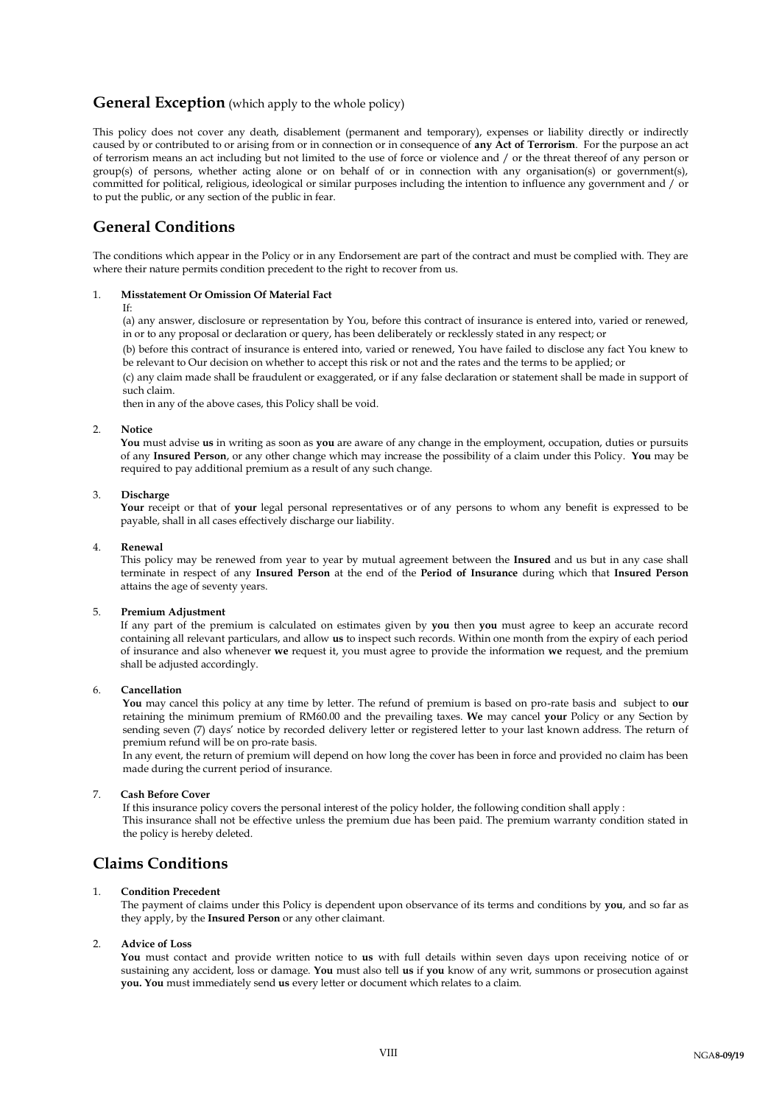### **General Exception** (which apply to the whole policy)

This policy does not cover any death, disablement (permanent and temporary), expenses or liability directly or indirectly caused by or contributed to or arising from or in connection or in consequence of **any Act of Terrorism**. For the purpose an act of terrorism means an act including but not limited to the use of force or violence and / or the threat thereof of any person or group(s) of persons, whether acting alone or on behalf of or in connection with any organisation(s) or government(s), committed for political, religious, ideological or similar purposes including the intention to influence any government and / or to put the public, or any section of the public in fear.

### **General Conditions**

The conditions which appear in the Policy or in any Endorsement are part of the contract and must be complied with. They are where their nature permits condition precedent to the right to recover from us.

#### 1. **Misstatement Or Omission Of Material Fact**

#### If:

(a) any answer, disclosure or representation by You, before this contract of insurance is entered into, varied or renewed, in or to any proposal or declaration or query, has been deliberately or recklessly stated in any respect; or

(b) before this contract of insurance is entered into, varied or renewed, You have failed to disclose any fact You knew to be relevant to Our decision on whether to accept this risk or not and the rates and the terms to be applied; or

(c) any claim made shall be fraudulent or exaggerated, or if any false declaration or statement shall be made in support of such claim.

then in any of the above cases, this Policy shall be void.

#### 2. **Notice**

**You** must advise **us** in writing as soon as **you** are aware of any change in the employment, occupation, duties or pursuits of any **Insured Person**, or any other change which may increase the possibility of a claim under this Policy. **You** may be required to pay additional premium as a result of any such change.

#### 3. **Discharge**

**Your** receipt or that of **your** legal personal representatives or of any persons to whom any benefit is expressed to be payable, shall in all cases effectively discharge our liability.

#### 4. **Renewal**

This policy may be renewed from year to year by mutual agreement between the **Insured** and us but in any case shall terminate in respect of any **Insured Person** at the end of the **Period of Insurance** during which that **Insured Person** attains the age of seventy years.

#### 5. **Premium Adjustment**

If any part of the premium is calculated on estimates given by **you** then **you** must agree to keep an accurate record containing all relevant particulars, and allow **us** to inspect such records. Within one month from the expiry of each period of insurance and also whenever **we** request it, you must agree to provide the information **we** request, and the premium shall be adjusted accordingly.

#### 6. **Cancellation**

**You** may cancel this policy at any time by letter. The refund of premium is based on pro-rate basis and subject to **our**  retaining the minimum premium of RM60.00 and the prevailing taxes. **We** may cancel **your** Policy or any Section by sending seven (7) days' notice by recorded delivery letter or registered letter to your last known address. The return of premium refund will be on pro-rate basis.

In any event, the return of premium will depend on how long the cover has been in force and provided no claim has been made during the current period of insurance.

#### 7. **Cash Before Cover**

If this insurance policy covers the personal interest of the policy holder, the following condition shall apply : This insurance shall not be effective unless the premium due has been paid. The premium warranty condition stated in the policy is hereby deleted.

### **Claims Conditions**

#### 1. **Condition Precedent**

The payment of claims under this Policy is dependent upon observance of its terms and conditions by **you**, and so far as they apply, by the **Insured Person** or any other claimant.

#### 2. **Advice of Loss**

**You** must contact and provide written notice to **us** with full details within seven days upon receiving notice of or sustaining any accident, loss or damage. **You** must also tell **us** if **you** know of any writ, summons or prosecution against **you. You** must immediately send **us** every letter or document which relates to a claim.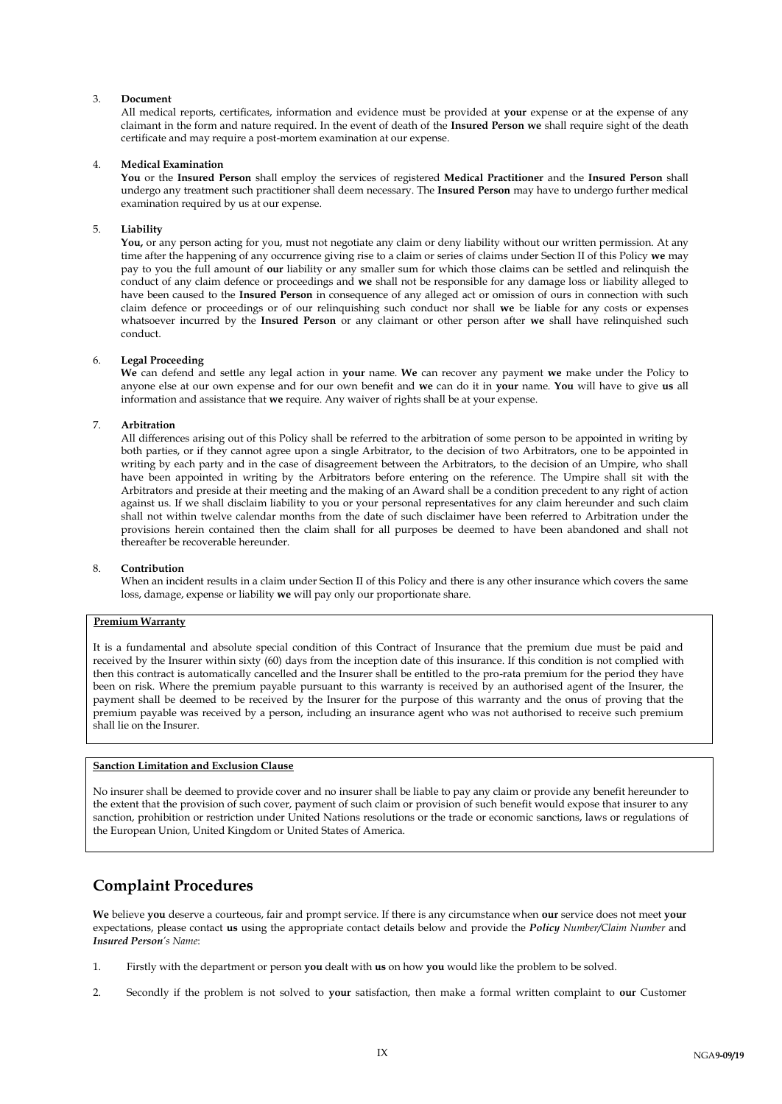#### 3. **Document**

All medical reports, certificates, information and evidence must be provided at **your** expense or at the expense of any claimant in the form and nature required. In the event of death of the **Insured Person we** shall require sight of the death certificate and may require a post-mortem examination at our expense.

#### 4. **Medical Examination**

**You** or the **Insured Person** shall employ the services of registered **Medical Practitioner** and the **Insured Person** shall undergo any treatment such practitioner shall deem necessary. The **Insured Person** may have to undergo further medical examination required by us at our expense.

#### 5. **Liability**

**You,** or any person acting for you, must not negotiate any claim or deny liability without our written permission. At any time after the happening of any occurrence giving rise to a claim or series of claims under Section II of this Policy **we** may pay to you the full amount of **our** liability or any smaller sum for which those claims can be settled and relinquish the conduct of any claim defence or proceedings and **we** shall not be responsible for any damage loss or liability alleged to have been caused to the **Insured Person** in consequence of any alleged act or omission of ours in connection with such claim defence or proceedings or of our relinquishing such conduct nor shall **we** be liable for any costs or expenses whatsoever incurred by the **Insured Person** or any claimant or other person after **we** shall have relinquished such conduct.

#### 6. **Legal Proceeding**

**We** can defend and settle any legal action in **your** name. **We** can recover any payment **we** make under the Policy to anyone else at our own expense and for our own benefit and **we** can do it in **your** name. **You** will have to give **us** all information and assistance that **we** require. Any waiver of rights shall be at your expense.

#### 7. **Arbitration**

All differences arising out of this Policy shall be referred to the arbitration of some person to be appointed in writing by both parties, or if they cannot agree upon a single Arbitrator, to the decision of two Arbitrators, one to be appointed in writing by each party and in the case of disagreement between the Arbitrators, to the decision of an Umpire, who shall have been appointed in writing by the Arbitrators before entering on the reference. The Umpire shall sit with the Arbitrators and preside at their meeting and the making of an Award shall be a condition precedent to any right of action against us. If we shall disclaim liability to you or your personal representatives for any claim hereunder and such claim shall not within twelve calendar months from the date of such disclaimer have been referred to Arbitration under the provisions herein contained then the claim shall for all purposes be deemed to have been abandoned and shall not thereafter be recoverable hereunder.

#### 8. **Contribution**

When an incident results in a claim under Section II of this Policy and there is any other insurance which covers the same loss, damage, expense or liability **we** will pay only our proportionate share.

#### **Premium Warranty**

It is a fundamental and absolute special condition of this Contract of Insurance that the premium due must be paid and received by the Insurer within sixty (60) days from the inception date of this insurance. If this condition is not complied with then this contract is automatically cancelled and the Insurer shall be entitled to the pro-rata premium for the period they have been on risk. Where the premium payable pursuant to this warranty is received by an authorised agent of the Insurer, the payment shall be deemed to be received by the Insurer for the purpose of this warranty and the onus of proving that the premium payable was received by a person, including an insurance agent who was not authorised to receive such premium shall lie on the Insurer.

#### **Sanction Limitation and Exclusion Clause**

No insurer shall be deemed to provide cover and no insurer shall be liable to pay any claim or provide any benefit hereunder to the extent that the provision of such cover, payment of such claim or provision of such benefit would expose that insurer to any sanction, prohibition or restriction under United Nations resolutions or the trade or economic sanctions, laws or regulations of the European Union, United Kingdom or United States of America.

### **Complaint Procedures**

**We** believe **you** deserve a courteous, fair and prompt service. If there is any circumstance when **our** service does not meet **your** expectations, please contact **us** using the appropriate contact details below and provide the *Policy Number/Claim Number* and *Insured Person's Name*:

- 1. Firstly with the department or person **you** dealt with **us** on how **you** would like the problem to be solved.
- 2. Secondly if the problem is not solved to **your** satisfaction, then make a formal written complaint to **our** Customer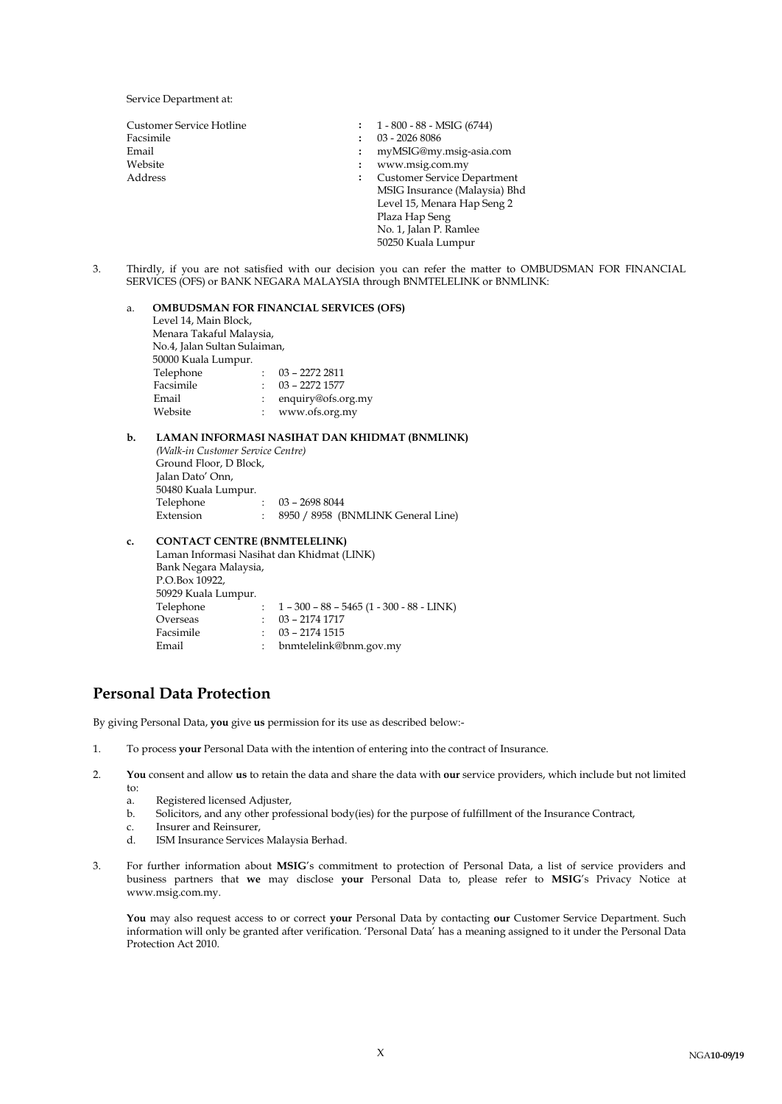Service Department at:

| Customer Service Hotline | $1 - 800 - 88 - MSIG (6744)$                               |  |
|--------------------------|------------------------------------------------------------|--|
| Facsimile                | 03 - 2026 8086                                             |  |
| Email                    | myMSIG@my.msig-asia.com<br>:                               |  |
| Website                  | www.msig.com.my<br>:                                       |  |
| Address                  | <b>Customer Service Department</b><br>$\ddot{\phantom{a}}$ |  |
|                          | MSIG Insurance (Malaysia) Bhd                              |  |
|                          | Level 15, Menara Hap Seng 2                                |  |
|                          | Plaza Hap Seng                                             |  |
|                          | No. 1, Jalan P. Ramlee                                     |  |
|                          | 50250 Kuala Lumpur                                         |  |

3. Thirdly, if you are not satisfied with our decision you can refer the matter to OMBUDSMAN FOR FINANCIAL SERVICES (OFS) or BANK NEGARA MALAYSIA through BNMTELELINK or BNMLINK:

### a. **OMBUDSMAN FOR FINANCIAL SERVICES (OFS)**

| Level 14, Main Block,        |   |                    |  |  |  |
|------------------------------|---|--------------------|--|--|--|
| Menara Takaful Malaysia,     |   |                    |  |  |  |
| No.4, Jalan Sultan Sulaiman, |   |                    |  |  |  |
| 50000 Kuala Lumpur.          |   |                    |  |  |  |
| Telephone                    |   | 03 - 2272 2811     |  |  |  |
| Facsimile                    | ÷ | $03 - 2272$ 1577   |  |  |  |
| Email                        |   | enquiry@ofs.org.my |  |  |  |
| Website                      |   | www.ofs.org.my     |  |  |  |

#### **b. LAMAN INFORMASI NASIHAT DAN KHIDMAT (BNMLINK)**

*(Walk-in Customer Service Centre)* Ground Floor, D Block, Jalan Dato' Onn, 50480 Kuala Lumpur. Telephone : 03 – 2698 8044 Extension : 8950 / 8958 (BNMLINK General Line)

### **c. CONTACT CENTRE (BNMTELELINK)**

Laman Informasi Nasihat dan Khidmat (LINK) Bank Negara Malaysia, P.O.Box 10922, 50929 Kuala Lumpur. Telephone : 1 – 300 – 88 – 5465 (1 - 300 - 88 - LINK) Overseas : 03 – 2174 1717 Facsimile : 03 – 2174 1515 Email : bnmtelelink@bnm.gov.my

### **Personal Data Protection**

By giving Personal Data, **you** give **us** permission for its use as described below:-

- 1. To process **your** Personal Data with the intention of entering into the contract of Insurance.
- 2. **You** consent and allow **us** to retain the data and share the data with **our** service providers, which include but not limited to:
	- a. Registered licensed Adjuster,
	- b. Solicitors, and any other professional body(ies) for the purpose of fulfillment of the Insurance Contract,
	- c. Insurer and Reinsurer,
	- ISM Insurance Services Malaysia Berhad.
- 3. For further information about **MSIG**'s commitment to protection of Personal Data, a list of service providers and business partners that **we** may disclose **your** Personal Data to, please refer to **MSIG**'s Privacy Notice at www.msig.com.my.

**You** may also request access to or correct **your** Personal Data by contacting **our** Customer Service Department. Such information will only be granted after verification. 'Personal Data' has a meaning assigned to it under the Personal Data Protection Act 2010.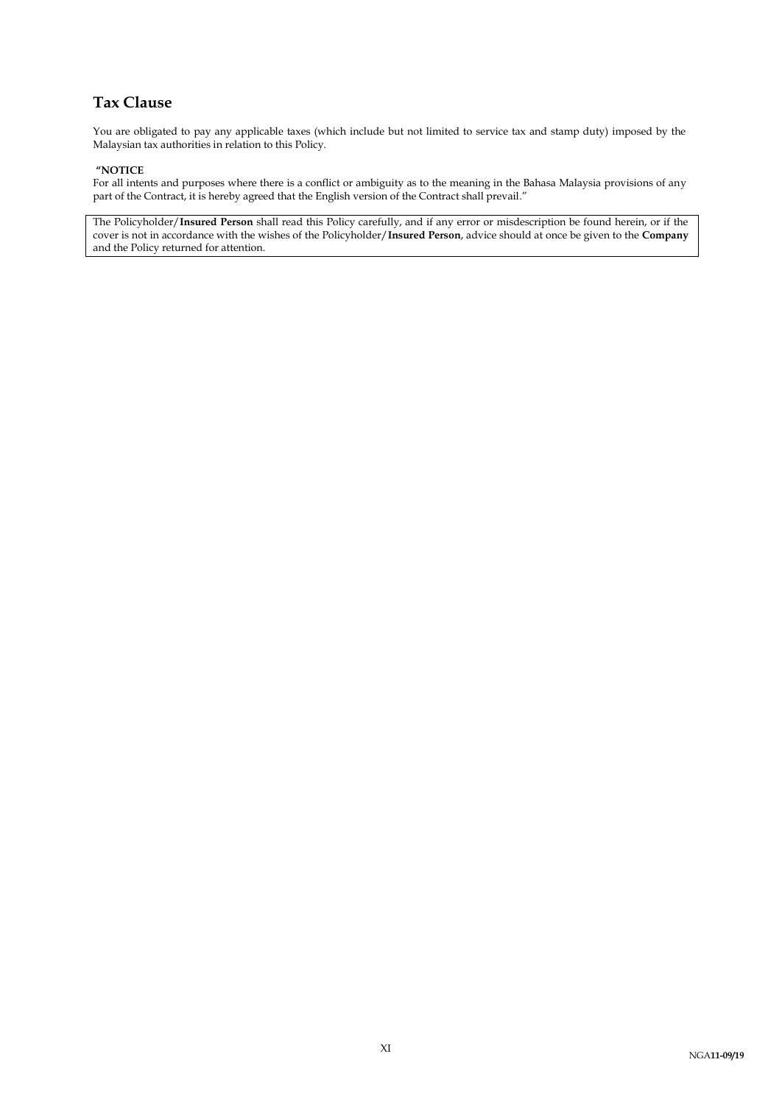## **Tax Clause**

You are obligated to pay any applicable taxes (which include but not limited to service tax and stamp duty) imposed by the Malaysian tax authorities in relation to this Policy.

#### **"NOTICE**

For all intents and purposes where there is a conflict or ambiguity as to the meaning in the Bahasa Malaysia provisions of any part of the Contract, it is hereby agreed that the English version of the Contract shall prevail."

The Policyholder/**Insured Person** shall read this Policy carefully, and if any error or misdescription be found herein, or if the cover is not in accordance with the wishes of the Policyholder/**Insured Person**, advice should at once be given to the **Company** and the Policy returned for attention.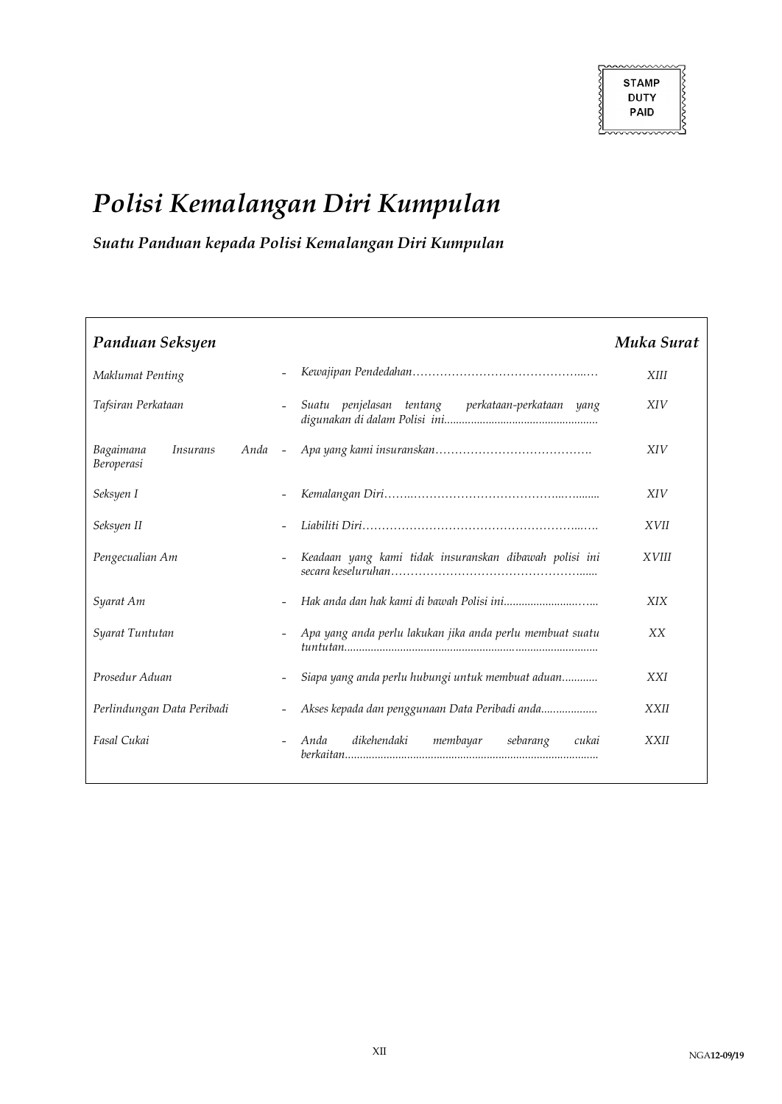# *Polisi Kemalangan Diri Kumpulan*

*Suatu Panduan kepada Polisi Kemalangan Diri Kumpulan*

| Panduan Seksyen                            |                          |                                                           | Muka Surat   |
|--------------------------------------------|--------------------------|-----------------------------------------------------------|--------------|
| Maklumat Penting                           |                          |                                                           | <b>XIII</b>  |
| Tafsiran Perkataan                         |                          | Suatu penjelasan tentang  perkataan-perkataan yang        | XIV          |
| Bagaimana<br><i>Insurans</i><br>Beroperasi |                          |                                                           | <b>XIV</b>   |
| Seksyen I                                  |                          |                                                           | <b>XIV</b>   |
| Seksyen II                                 |                          |                                                           | <b>XVII</b>  |
| Pengecualian Am                            | $\overline{\phantom{a}}$ | Keadaan yang kami tidak insuranskan dibawah polisi ini    | <i>XVIII</i> |
| Syarat Am                                  |                          |                                                           | <b>XIX</b>   |
| Syarat Tuntutan                            |                          | Apa yang anda perlu lakukan jika anda perlu membuat suatu | XX           |
| Prosedur Aduan                             |                          | Siapa yang anda perlu hubungi untuk membuat aduan         | <b>XXI</b>   |
| Perlindungan Data Peribadi                 |                          | Akses kepada dan penggunaan Data Peribadi anda            | <b>XXII</b>  |
| Fasal Cukai                                |                          | dikehendaki membayar<br>sebarang<br>Anda<br>cukai         | <b>XXII</b>  |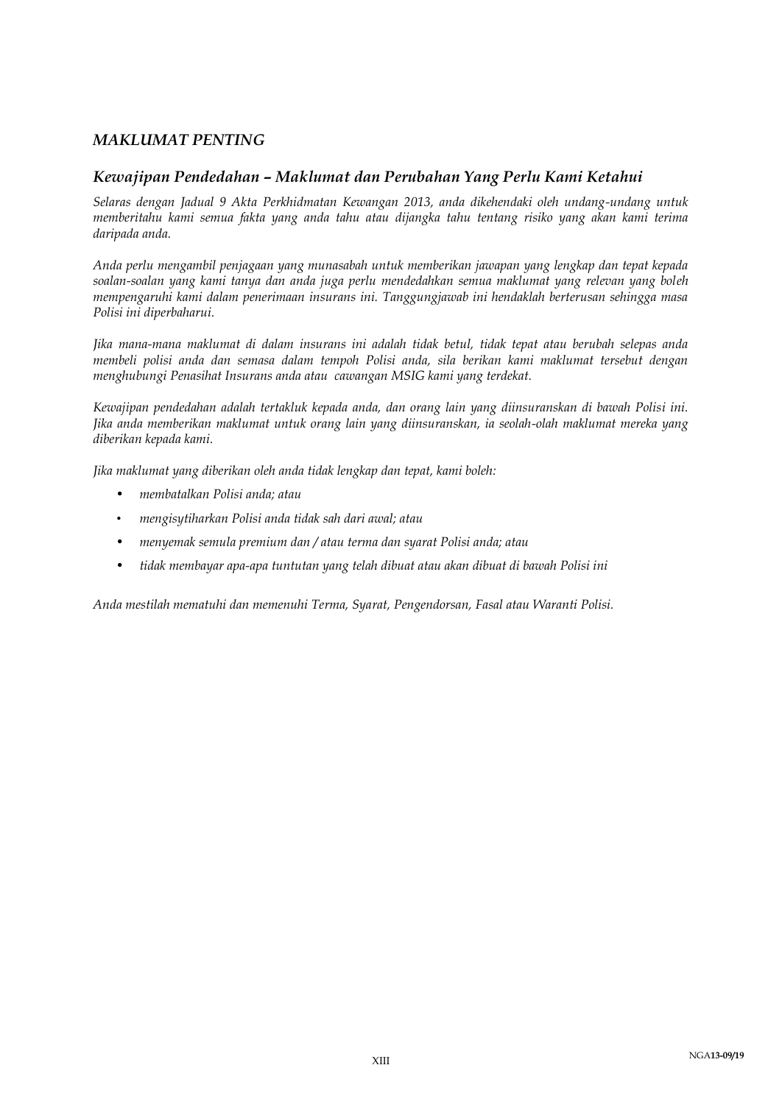### *MAKLUMAT PENTING*

### *Kewajipan Pendedahan – Maklumat dan Perubahan Yang Perlu Kami Ketahui*

*Selaras dengan Jadual 9 Akta Perkhidmatan Kewangan 2013, anda dikehendaki oleh undang-undang untuk memberitahu kami semua fakta yang anda tahu atau dijangka tahu tentang risiko yang akan kami terima daripada anda.*

*Anda perlu mengambil penjagaan yang munasabah untuk memberikan jawapan yang lengkap dan tepat kepada soalan-soalan yang kami tanya dan anda juga perlu mendedahkan semua maklumat yang relevan yang boleh mempengaruhi kami dalam penerimaan insurans ini. Tanggungjawab ini hendaklah berterusan sehingga masa Polisi ini diperbaharui.*

*Jika mana-mana maklumat di dalam insurans ini adalah tidak betul, tidak tepat atau berubah selepas anda membeli polisi anda dan semasa dalam tempoh Polisi anda, sila berikan kami maklumat tersebut dengan menghubungi Penasihat Insurans anda atau cawangan MSIG kami yang terdekat.* 

*Kewajipan pendedahan adalah tertakluk kepada anda, dan orang lain yang diinsuranskan di bawah Polisi ini. Jika anda memberikan maklumat untuk orang lain yang diinsuranskan, ia seolah-olah maklumat mereka yang diberikan kepada kami.* 

*Jika maklumat yang diberikan oleh anda tidak lengkap dan tepat, kami boleh:* 

- *membatalkan Polisi anda; atau*
- *mengisytiharkan Polisi anda tidak sah dari awal; atau*
- *menyemak semula premium dan / atau terma dan syarat Polisi anda; atau*
- *tidak membayar apa-apa tuntutan yang telah dibuat atau akan dibuat di bawah Polisi ini*

*Anda mestilah mematuhi dan memenuhi Terma, Syarat, Pengendorsan, Fasal atau Waranti Polisi.*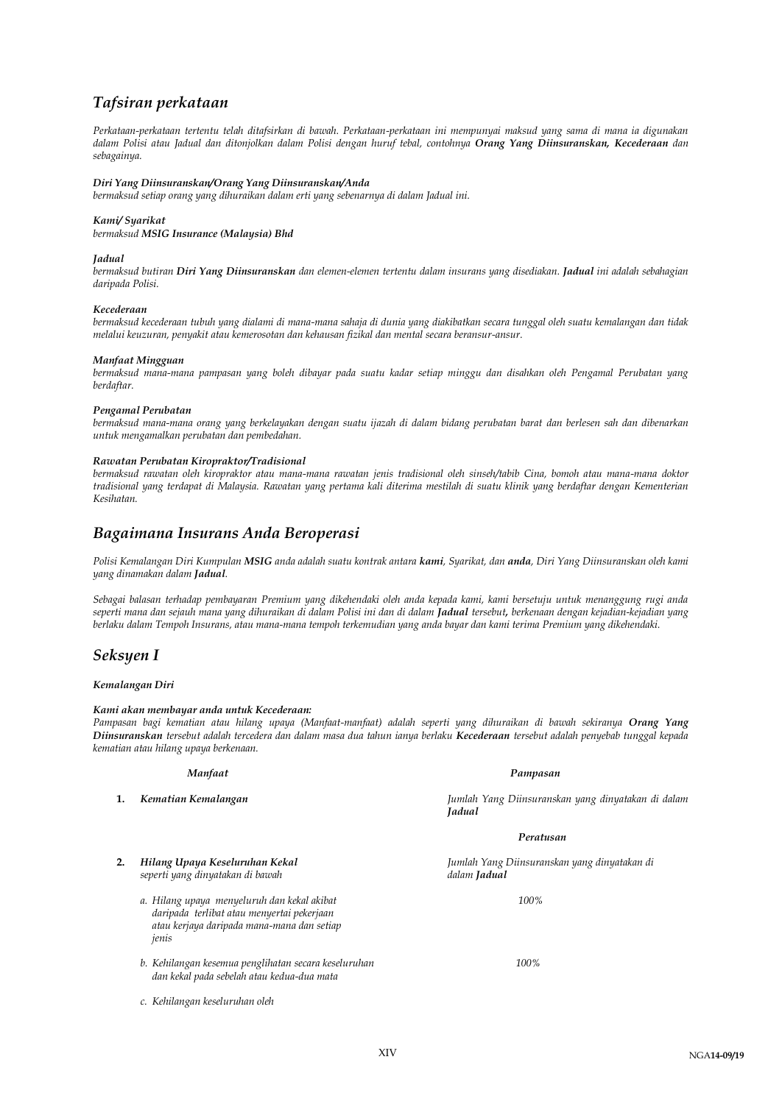## *Tafsiran perkataan*

*Perkataan-perkataan tertentu telah ditafsirkan di bawah. Perkataan-perkataan ini mempunyai maksud yang sama di mana ia digunakan dalam Polisi atau Jadual dan ditonjolkan dalam Polisi dengan huruf tebal, contohnya Orang Yang Diinsuranskan, Kecederaan dan sebagainya.*

#### *Diri Yang Diinsuranskan/Orang Yang Diinsuranskan/Anda*

*bermaksud setiap orang yang dihuraikan dalam erti yang sebenarnya di dalam Jadual ini.* 

#### *Kami/ Syarikat*

*bermaksud MSIG Insurance (Malaysia) Bhd*

#### *Jadual*

*bermaksud butiran Diri Yang Diinsuranskan dan elemen-elemen tertentu dalam insurans yang disediakan. Jadual ini adalah sebahagian daripada Polisi.*

#### *Kecederaan*

*bermaksud kecederaan tubuh yang dialami di mana-mana sahaja di dunia yang diakibatkan secara tunggal oleh suatu kemalangan dan tidak melalui keuzuran, penyakit atau kemerosotan dan kehausan fizikal dan mental secara beransur-ansur.*

#### *Manfaat Mingguan*

*bermaksud mana-mana pampasan yang boleh dibayar pada suatu kadar setiap minggu dan disahkan oleh Pengamal Perubatan yang berdaftar.*

#### *Pengamal Perubatan*

*bermaksud mana-mana orang yang berkelayakan dengan suatu ijazah di dalam bidang perubatan barat dan berlesen sah dan dibenarkan untuk mengamalkan perubatan dan pembedahan.*

#### *Rawatan Perubatan Kiropraktor/Tradisional*

*bermaksud rawatan oleh kiropraktor atau mana-mana rawatan jenis tradisional oleh sinseh/tabib Cina, bomoh atau mana-mana doktor tradisional yang terdapat di Malaysia. Rawatan yang pertama kali diterima mestilah di suatu klinik yang berdaftar dengan Kementerian Kesihatan.* 

### *Bagaimana Insurans Anda Beroperasi*

*Polisi Kemalangan Diri Kumpulan MSIG anda adalah suatu kontrak antara kami, Syarikat, dan anda, Diri Yang Diinsuranskan oleh kami yang dinamakan dalam Jadual.* 

*Sebagai balasan terhadap pembayaran Premium yang dikehendaki oleh anda kepada kami, kami bersetuju untuk menanggung rugi anda seperti mana dan sejauh mana yang dihuraikan di dalam Polisi ini dan di dalam Jadual tersebut, berkenaan dengan kejadian-kejadian yang berlaku dalam Tempoh Insurans, atau mana-mana tempoh terkemudian yang anda bayar dan kami terima Premium yang dikehendaki.*

### *Seksyen I*

#### *Kemalangan Diri*

#### *Kami akan membayar anda untuk Kecederaan:*

*Pampasan bagi kematian atau hilang upaya (Manfaat-manfaat) adalah seperti yang dihuraikan di bawah sekiranya Orang Yang Diinsuranskan tersebut adalah tercedera dan dalam masa dua tahun ianya berlaku Kecederaan tersebut adalah penyebab tunggal kepada kematian atau hilang upaya berkenaan.*

#### *Manfaat Pampasan*

**1.** *Kematian Kemalangan Jumlah Yang Diinsuranskan yang dinyatakan di dalam Jadual*

#### *Peratusan*

**2.** *Hilang Upaya Keseluruhan Kekal Jumlah Yang Diinsuranskan yang dinyatakan di seperti yang dinyatakan di bawah dalam Jadual*

- *a. Hilang upaya menyeluruh dan kekal akibat 100% daripada terlibat atau menyertai pekerjaan atau kerjaya daripada mana-mana dan setiap jenis*
- *b. Kehilangan kesemua penglihatan secara keseluruhan 100% dan kekal pada sebelah atau kedua-dua mata*
- *c. Kehilangan keseluruhan oleh*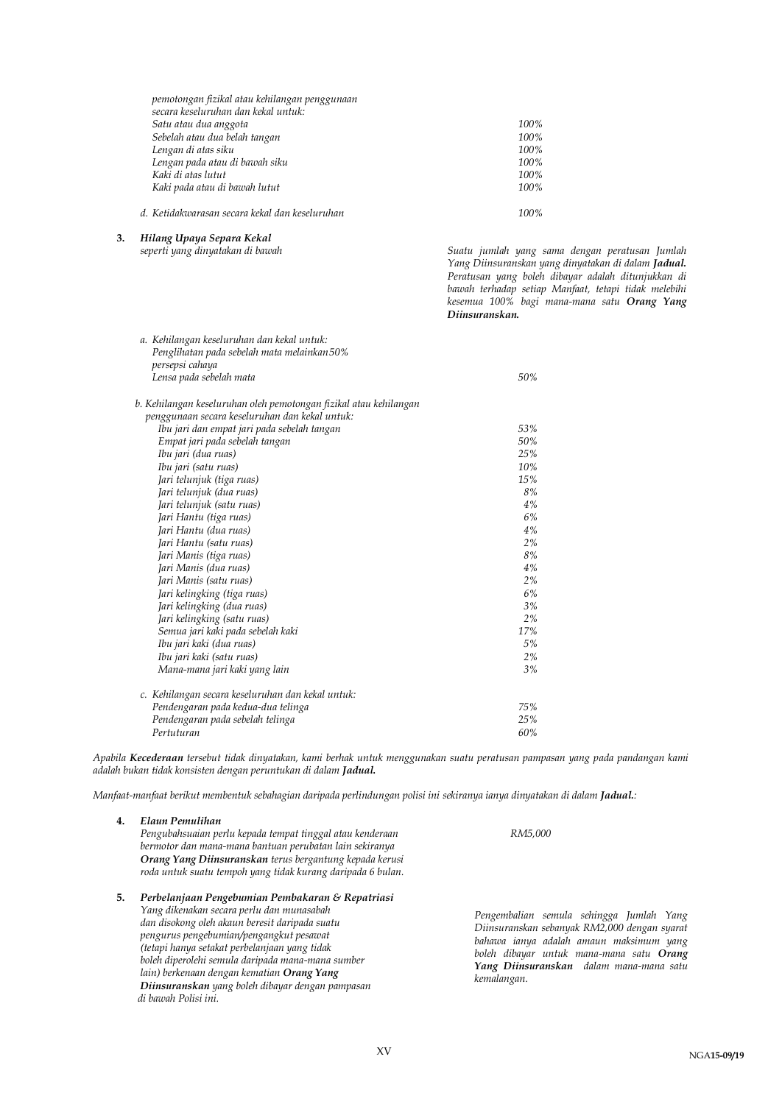| pemotongan fizikal atau kehilangan penggunaan<br>secara keseluruhan dan kekal untuk: |      |
|--------------------------------------------------------------------------------------|------|
| Satu atau dua anggota                                                                | 100% |
| Sebelah atau dua belah tangan                                                        | 100% |
| Lengan di atas siku                                                                  | 100% |
| Lengan pada atau di bawah siku                                                       | 100% |
| Kaki di atas lutut                                                                   | 100% |
| Kaki pada atau di bawah lutut                                                        | 100% |
| d. Ketidakwarasan secara kekal dan keseluruhan                                       | 100% |

**3.** *Hilang Upaya Separa Kekal seperti yang dinyatakan di bawah Suatu jumlah yang sama dengan peratusan Jumlah Yang Diinsuranskan yang dinyatakan di dalam Jadual. Peratusan yang boleh dibayar adalah ditunjukkan di bawah terhadap setiap Manfaat, tetapi tidak melebihi kesemua 100% bagi mana-mana satu Orang Yang Diinsuranskan. a. Kehilangan keseluruhan dan kekal untuk: Penglihatan pada sebelah mata melainkan50% persepsi cahaya Lensa pada sebelah mata 50% b. Kehilangan keseluruhan oleh pemotongan fizikal atau kehilangan penggunaan secara keseluruhan dan kekal untuk: Ibu jari dan empat jari pada sebelah tangan 53% Empat jari pada sebelah tangan 50% Ibu jari (dua ruas) 25% Ibu jari (satu ruas) 10% Jari telunjuk (tiga ruas) 15%* Jari telunjuk (dua ruas) *Jari telunjuk (satu ruas) 4% Jari Hantu (tiga ruas) 6% Jari Hantu (dua ruas) 4% Jari Hantu (satu ruas) 2% Jari Manis (tiga ruas) 8% Jari Manis (dua ruas) 4% Jari Manis (satu ruas) 2%*  $J$ ari kelingking (tiga ruas) *Jari kelingking (dua ruas) 3% Jari kelingking (satu ruas) 2% Semua jari kaki pada sebelah kaki 17% Ibu jari kaki (dua ruas) Ibu jari kaki (satu ruas) 2% Mana-mana jari kaki yang lain 3% c. Kehilangan secara keseluruhan dan kekal untuk: Pendengaran pada kedua-dua telinga 75% Pendengaran pada sebelah telinga 25% Pertuturan 60%*

*Apabila Kecederaan tersebut tidak dinyatakan, kami berhak untuk menggunakan suatu peratusan pampasan yang pada pandangan kami adalah bukan tidak konsisten dengan peruntukan di dalam Jadual.*

*Manfaat-manfaat berikut membentuk sebahagian daripada perlindungan polisi ini sekiranya ianya dinyatakan di dalam Jadual.:*

| $\bf{4}$ | Elaun Pemulihan<br>Pengubahsuaian perlu kepada tempat tinggal atau kenderaan<br>bermotor dan mana-mana bantuan perubatan lain sekiranya<br>Orang Yang Diinsuranskan terus bergantung kepada kerusi<br>roda untuk suatu tempoh yang tidak kurang daripada 6 bulan. | RM5,000                                                                    |
|----------|-------------------------------------------------------------------------------------------------------------------------------------------------------------------------------------------------------------------------------------------------------------------|----------------------------------------------------------------------------|
| 5.       | Perbelanjaan Pengebumian Pembakaran & Repatriasi<br>Yang dikenakan secara perlu dan munasabah<br>dan disokong oleh akaun beresit daripada suatu<br>pengurus pengebumian/pengangkut pesawat<br>(tetapi hanya setakat perbelanjaan yang tidak                       | Pengembalian se<br>Diinsuranskan sei<br>bahawa ianya ac<br>holeh dihawar w |

*boleh diperolehi semula daripada mana-mana sumber lain) berkenaan dengan kematian Orang Yang Diinsuranskan yang boleh dibayar dengan pampasan* 

 *di bawah Polisi ini.*

*Pengembalian semula sehingga Jumlah Yang Diinsuranskan sebanyak RM2,000 dengan syarat bahawa ianya adalah amaun maksimum yang boleh dibayar untuk mana-mana satu Orang Yang Diinsuranskan dalam mana-mana satu kemalangan.*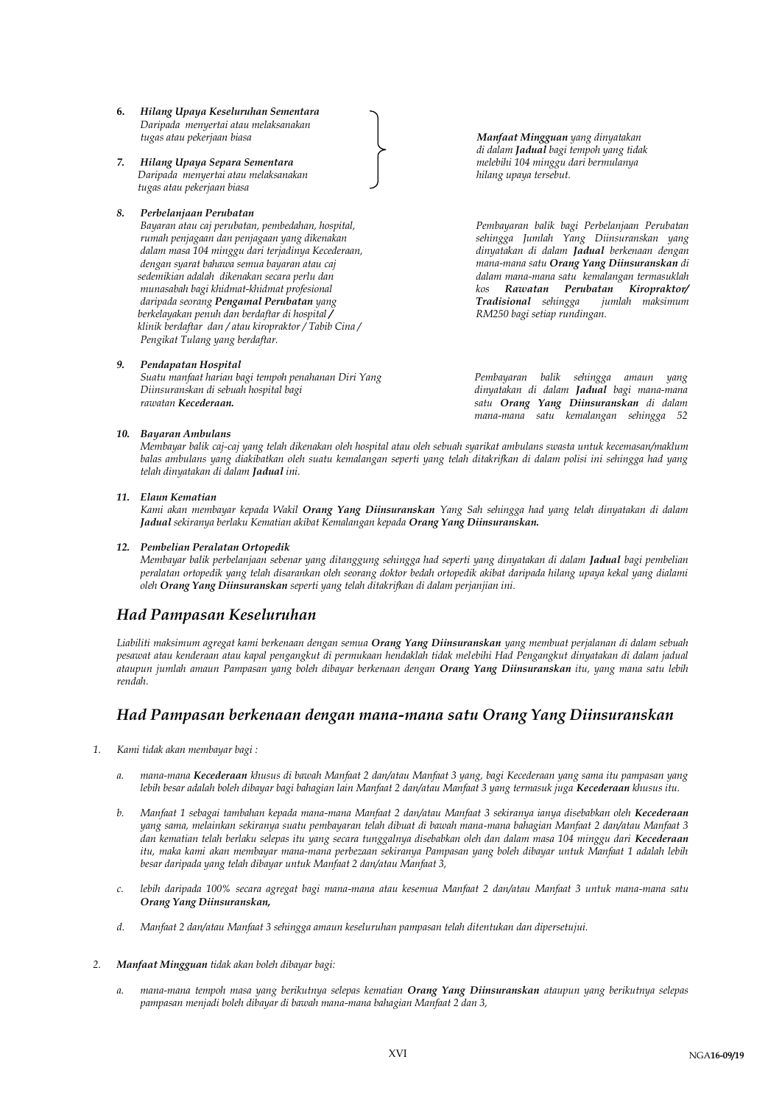- **6.** *Hilang Upaya Keseluruhan Sementara Daripada menyertai atau melaksanakan*
- *7. Hilang Upaya Separa Sementara melebihi 104 minggu dari bermulanya Daripada menyertai atau melaksanakan hilang upaya tersebut. tugas atau pekerjaan biasa*

#### *8. Perbelanjaan Perubatan*

*Bayaran atau caj perubatan, pembedahan, hospital, rumah penjagaan dan penjagaan yang dikenakan dalam masa 104 minggu dari terjadinya Kecederaan, dengan syarat bahawa semua bayaran atau caj sedemikian adalah dikenakan secara perlu dan munasabah bagi khidmat-khidmat profesional daripada seorang Pengamal Perubatan yang berkelayakan penuh dan berdaftar di hospital / klinik berdaftar dan / atau kiropraktor / Tabib Cina / Pengikat Tulang yang berdaftar.*

#### *9. Pendapatan Hospital*

*Suatu manfaat harian bagi tempoh penahanan Diri Yang Diinsuranskan di sebuah hospital bagi rawatan Kecederaan.* 

*tugas atau pekerjaan biasa Manfaat Mingguan yang dinyatakan di dalam Jadual bagi tempoh yang tidak*

*Pembayaran balik bagi Perbelanjaan Perubatan sehingga Jumlah Yang Diinsuranskan yang dinyatakan di dalam Jadual berkenaan dengan mana-mana satu Orang Yang Diinsuranskan di dalam mana-mana satu kemalangan termasuklah kos Rawatan Perubatan Kiropraktor/*   $Tradisional$  sehingga *RM250 bagi setiap rundingan.* 

*Pembayaran balik sehingga amaun yang dinyatakan di dalam Jadual bagi mana-mana satu Orang Yang Diinsuranskan di dalam mana-mana satu kemalangan sehingga 52* 

#### *10. Bayaran Ambulans*

*Membayar balik caj-caj yang telah dikenakan oleh hospital atau oleh sebuah syarikat ambulans swasta untuk kecemasan/maklum balas ambulans yang diakibatkan oleh suatu kemalangan seperti yang telah ditakrifkan di dalam polisi ini sehingga had yang telah dinyatakan di dalam Jadual ini.* 

*minggu.*

#### *11. Elaun Kematian*

Kami akan membayar kepada Wakil **Orang Yang Diinsuranskan** Yang Sah sehingga had yang telah dinyatakan di dalam *Jadual sekiranya berlaku Kematian akibat Kemalangan kepada Orang Yang Diinsuranskan.*  dinyatakan di dalam **Jadual** bagi mana-mana

#### *12. Pembelian Peralatan Ortopedik*

**Pembelian Peralatan Ortopedik**<br>Membayar balik perbelanjaan sebenar yang ditanggung sehingga had seperti yang dinyatakan di dalam **Jadual** bagi pembelian *peralatan ortopedik yang telah disarankan oleh seorang doktor bedah ortopedik akibat daripada hilang upaya kekal yang dialami* . *oleh Orang Yang Diinsuranskan seperti yang telah ditakrifkan di dalam perjanjian ini.* yang diny

### *Had Pampasan Keseluruhan*

*Liabiliti maksimum agregat kami berkenaan dengan semua Orang Yang Diinsuranskan yang membuat perjalanan di dalam sebuah pesawat atau kenderaan atau kapal pengangkut di permukaan hendaklah tidak melebihi Had Pengangkut dinyatakan di dalam jadual ataupun jumlah amaun Pampasan yang boleh dibayar berkenaan dengan Orang Yang Diinsuranskan itu, yang mana satu lebih rendah.* 

### *Had Pampasan berkenaan dengan mana-mana satu Orang Yang Diinsuranskan*

- *1. Kami tidak akan membayar bagi :* 
	- *a. mana-mana Kecederaan khusus di bawah Manfaat 2 dan/atau Manfaat 3 yang, bagi Kecederaan yang sama itu pampasan yang lebih besar adalah boleh dibayar bagi bahagian lain Manfaat 2 dan/atau Manfaat 3 yang termasuk juga Kecederaan khusus itu.*
	- *b. Manfaat 1 sebagai tambahan kepada mana-mana Manfaat 2 dan/atau Manfaat 3 sekiranya ianya disebabkan oleh Kecederaan yang sama, melainkan sekiranya suatu pembayaran telah dibuat di bawah mana-mana bahagian Manfaat 2 dan/atau Manfaat 3 dan kematian telah berlaku selepas itu yang secara tunggalnya disebabkan oleh dan dalam masa 104 minggu dari Kecederaan itu, maka kami akan membayar mana-mana perbezaan sekiranya Pampasan yang boleh dibayar untuk Manfaat 1 adalah lebih besar daripada yang telah dibayar untuk Manfaat 2 dan/atau Manfaat 3,*
	- *c. lebih daripada 100% secara agregat bagi mana-mana atau kesemua Manfaat 2 dan/atau Manfaat 3 untuk mana-mana satu Orang Yang Diinsuranskan,*
	- *d. Manfaat 2 dan/atau Manfaat 3 sehingga amaun keseluruhan pampasan telah ditentukan dan dipersetujui.*
- *2. Manfaat Mingguan tidak akan boleh dibayar bagi:*
	- *a. mana-mana tempoh masa yang berikutnya selepas kematian Orang Yang Diinsuranskan ataupun yang berikutnya selepas pampasan menjadi boleh dibayar di bawah mana-mana bahagian Manfaat 2 dan 3,*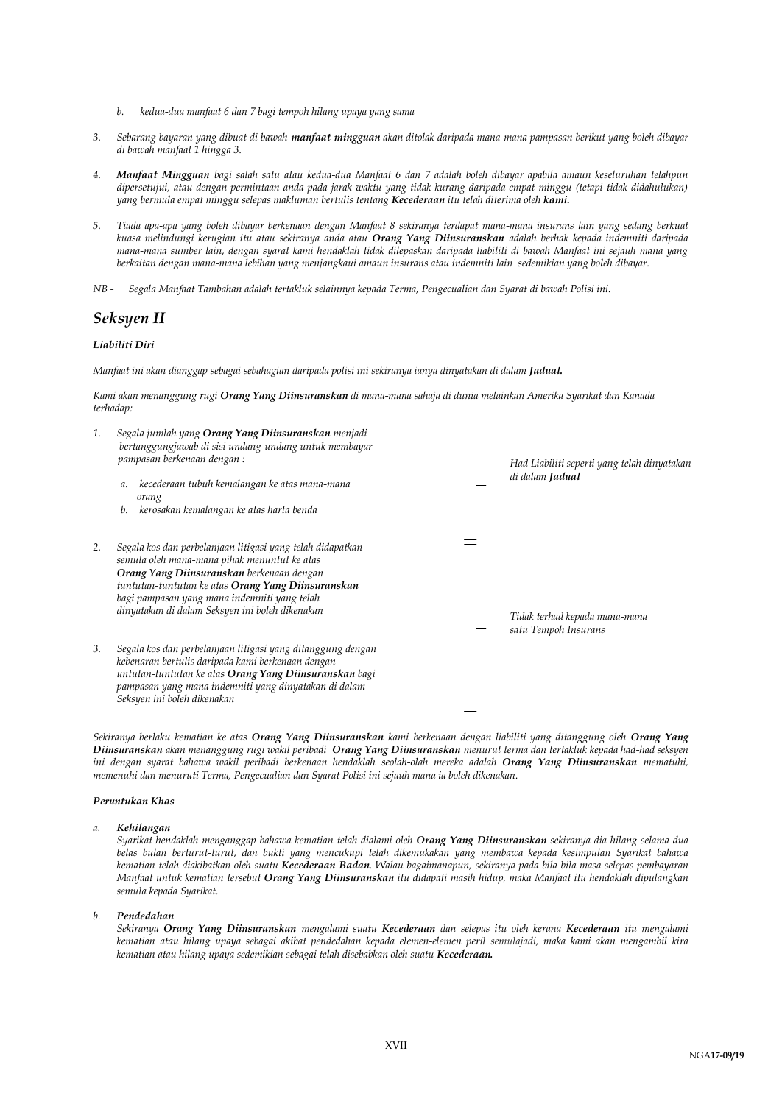- *b. kedua-dua manfaat 6 dan 7 bagi tempoh hilang upaya yang sama*
- *3. Sebarang bayaran yang dibuat di bawah manfaat mingguan akan ditolak daripada mana-mana pampasan berikut yang boleh dibayar di bawah manfaat 1 hingga 3.*
- *4. Manfaat Mingguan bagi salah satu atau kedua-dua Manfaat 6 dan 7 adalah boleh dibayar apabila amaun keseluruhan telahpun dipersetujui, atau dengan permintaan anda pada jarak waktu yang tidak kurang daripada empat minggu (tetapi tidak didahulukan) yang bermula empat minggu selepas makluman bertulis tentang Kecederaan itu telah diterima oleh kami.*
- *5. Tiada apa-apa yang boleh dibayar berkenaan dengan Manfaat 8 sekiranya terdapat mana-mana insurans lain yang sedang berkuat kuasa melindungi kerugian itu atau sekiranya anda atau Orang Yang Diinsuranskan adalah berhak kepada indemniti daripada mana-mana sumber lain, dengan syarat kami hendaklah tidak dilepaskan daripada liabiliti di bawah Manfaat ini sejauh mana yang berkaitan dengan mana-mana lebihan yang menjangkaui amaun insurans atau indemniti lain sedemikian yang boleh dibayar.*
- *NB - Segala Manfaat Tambahan adalah tertakluk selainnya kepada Terma, Pengecualian dan Syarat di bawah Polisi ini.*

### *Seksyen II*

#### *Liabiliti Diri*

*Manfaat ini akan dianggap sebagai sebahagian daripada polisi ini sekiranya ianya dinyatakan di dalam Jadual.* 

*Kami akan menanggung rugi Orang Yang Diinsuranskan di mana-mana sahaja di dunia melainkan Amerika Syarikat dan Kanada terhadap:*



*Sekiranya berlaku kematian ke atas Orang Yang Diinsuranskan kami berkenaan dengan liabiliti yang ditanggung oleh Orang Yang Diinsuranskan akan menanggung rugi wakil peribadi Orang Yang Diinsuranskan menurut terma dan tertakluk kepada had-had seksyen ini dengan syarat bahawa wakil peribadi berkenaan hendaklah seolah-olah mereka adalah Orang Yang Diinsuranskan mematuhi, memenuhi dan menuruti Terma, Pengecualian dan Syarat Polisi ini sejauh mana ia boleh dikenakan.* 

#### *Peruntukan Khas*

#### *a. Kehilangan*

*Syarikat hendaklah menganggap bahawa kematian telah dialami oleh Orang Yang Diinsuranskan sekiranya dia hilang selama dua belas bulan berturut-turut, dan bukti yang mencukupi telah dikemukakan yang membawa kepada kesimpulan Syarikat bahawa kematian telah diakibatkan oleh suatu Kecederaan Badan. Walau bagaimanapun, sekiranya pada bila-bila masa selepas pembayaran Manfaat untuk kematian tersebut Orang Yang Diinsuranskan itu didapati masih hidup, maka Manfaat itu hendaklah dipulangkan semula kepada Syarikat.*

#### *b. Pendedahan*

*Sekiranya Orang Yang Diinsuranskan mengalami suatu Kecederaan dan selepas itu oleh kerana Kecederaan itu mengalami kematian atau hilang upaya sebagai akibat pendedahan kepada elemen-elemen peril semulajadi, maka kami akan mengambil kira kematian atau hilang upaya sedemikian sebagai telah disebabkan oleh suatu Kecederaan.*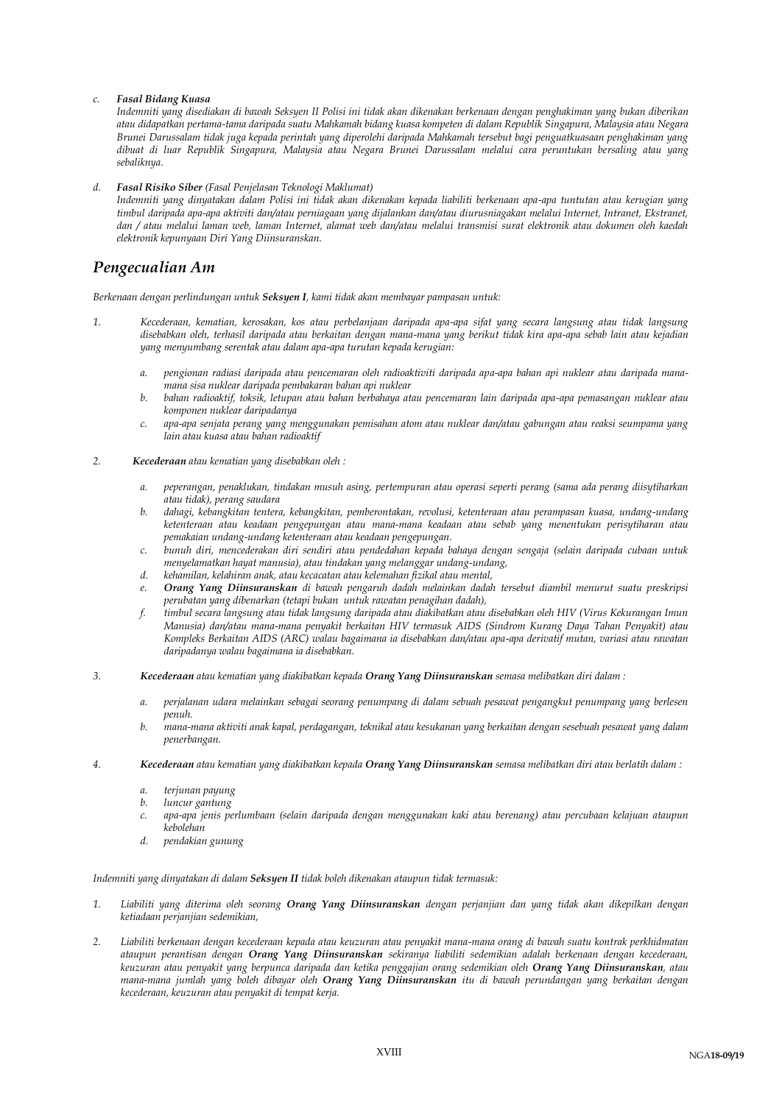#### *c. Fasal Bidang Kuasa*

*Indemniti yang disediakan di bawah Seksyen II Polisi ini tidak akan dikenakan berkenaan dengan penghakiman yang bukan diberikan atau didapatkan pertama-tama daripada suatu Mahkamah bidang kuasa kompeten di dalam Republik Singapura, Malaysia atau Negara Brunei Darussalam tidak juga kepada perintah yang diperolehi daripada Mahkamah tersebut bagi penguatkuasaan penghakiman yang dibuat di luar Republik Singapura, Malaysia atau Negara Brunei Darussalam melalui cara peruntukan bersaling atau yang sebaliknya.* 

#### *d. Fasal Risiko Siber (Fasal Penjelasan Teknologi Maklumat)*

*Indemniti yang dinyatakan dalam Polisi ini tidak akan dikenakan kepada liabiliti berkenaan apa-apa tuntutan atau kerugian yang timbul daripada apa-apa aktiviti dan/atau perniagaan yang dijalankan dan/atau diurusniagakan melalui Internet, Intranet, Ekstranet, dan / atau melalui laman web, laman Internet, alamat web dan/atau melalui transmisi surat elektronik atau dokumen oleh kaedah elektronik kepunyaan Diri Yang Diinsuranskan.*

### *Pengecualian Am*

*Berkenaan dengan perlindungan untuk Seksyen I, kami tidak akan membayar pampasan untuk:*

- *1. Kecederaan, kematian, kerosakan, kos atau perbelanjaan daripada apa-apa sifat yang secara langsung atau tidak langsung disebabkan oleh, terhasil daripada atau berkaitan dengan mana-mana yang berikut tidak kira apa-apa sebab lain atau kejadian yang menyumbang serentak atau dalam apa-apa turutan kepada kerugian:*
	- *a. pengionan radiasi daripada atau pencemaran oleh radioaktiviti daripada apa-apa bahan api nuklear atau daripada manamana sisa nuklear daripada pembakaran bahan api nuklear*
	- *b. bahan radioaktif, toksik, letupan atau bahan berbahaya atau pencemaran lain daripada apa-apa pemasangan nuklear atau komponen nuklear daripadanya*
	- *c. apa-apa senjata perang yang menggunakan pemisahan atom atau nuklear dan/atau gabungan atau reaksi seumpama yang lain atau kuasa atau bahan radioaktif*
- *2. Kecederaan atau kematian yang disebabkan oleh :*
	- *a. peperangan, penaklukan, tindakan musuh asing, pertempuran atau operasi seperti perang (sama ada perang diisytiharkan atau tidak), perang saudara*
	- *b. dahagi, kebangkitan tentera, kebangkitan, pemberontakan, revolusi, ketenteraan atau perampasan kuasa, undang-undang ketenteraan atau keadaan pengepungan atau mana-mana keadaan atau sebab yang menentukan perisytiharan atau pemakaian undang-undang ketenteraan atau keadaan pengepungan.*
	- *c. bunuh diri, mencederakan diri sendiri atau pendedahan kepada bahaya dengan sengaja (selain daripada cubaan untuk menyelamatkan hayat manusia), atau tindakan yang melanggar undang-undang,*
	- *d. kehamilan, kelahiran anak, atau kecacatan atau kelemahan fizikal atau mental,*
	- *e. Orang Yang Diinsuranskan di bawah pengaruh dadah melainkan dadah tersebut diambil menurut suatu preskripsi perubatan yang dibenarkan (tetapi bukan untuk rawatan penagihan dadah),*
	- *f. timbul secara langsung atau tidak langsung daripada atau diakibatkan atau disebabkan oleh HIV (Virus Kekurangan Imun Manusia) dan/atau mana-mana penyakit berkaitan HIV termasuk AIDS (Sindrom Kurang Daya Tahan Penyakit) atau Kompleks Berkaitan AIDS (ARC) walau bagaimana ia disebabkan dan/atau apa-apa derivatif mutan, variasi atau rawatan daripadanya walau bagaimana ia disebabkan.*
- *3. Kecederaan atau kematian yang diakibatkan kepada Orang Yang Diinsuranskan semasa melibatkan diri dalam :*
	- *a. perjalanan udara melainkan sebagai seorang penumpang di dalam sebuah pesawat pengangkut penumpang yang berlesen penuh.*
	- *b. mana-mana aktiviti anak kapal, perdagangan, teknikal atau kesukanan yang berkaitan dengan sesebuah pesawat yang dalam penerbangan.*
- *4. Kecederaan atau kematian yang diakibatkan kepada Orang Yang Diinsuranskan semasa melibatkan diri atau berlatih dalam :*
	- *a. terjunan payung*
	- *b. luncur gantung*
	- *c. apa-apa jenis perlumbaan (selain daripada dengan menggunakan kaki atau berenang) atau percubaan kelajuan ataupun kebolehan*
	- *d. pendakian gunung*

#### *Indemniti yang dinyatakan di dalam Seksyen II tidak boleh dikenakan ataupun tidak termasuk:*

- *1. Liabiliti yang diterima oleh seorang Orang Yang Diinsuranskan dengan perjanjian dan yang tidak akan dikepilkan dengan ketiadaan perjanjian sedemikian,*
- *2. Liabiliti berkenaan dengan kecederaan kepada atau keuzuran atau penyakit mana-mana orang di bawah suatu kontrak perkhidmatan ataupun perantisan dengan Orang Yang Diinsuranskan sekiranya liabiliti sedemikian adalah berkenaan dengan kecederaan, keuzuran atau penyakit yang berpunca daripada dan ketika penggajian orang sedemikian oleh Orang Yang Diinsuranskan, atau mana-mana jumlah yang boleh dibayar oleh Orang Yang Diinsuranskan itu di bawah perundangan yang berkaitan dengan kecederaan, keuzuran atau penyakit di tempat kerja.*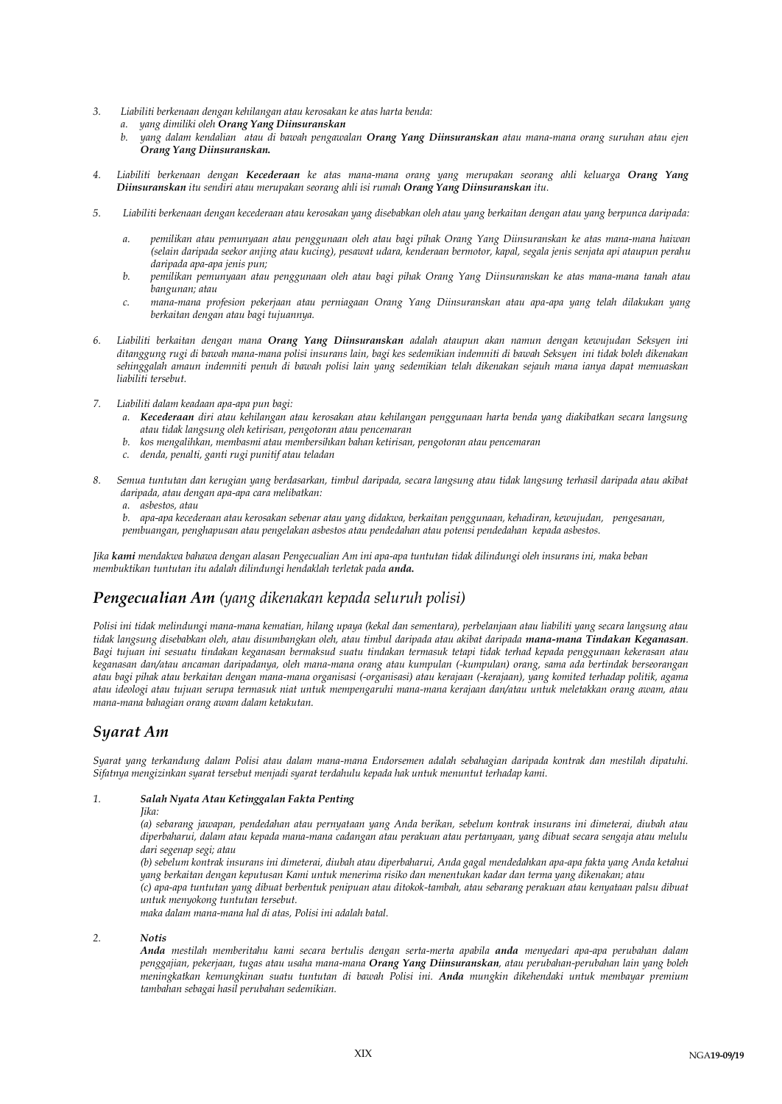- *3. Liabiliti berkenaan dengan kehilangan atau kerosakan ke atas harta benda:* 
	- *a. yang dimiliki oleh Orang Yang Diinsuranskan* 
		- *b. yang dalam kendalian atau di bawah pengawalan Orang Yang Diinsuranskan atau mana-mana orang suruhan atau ejen Orang Yang Diinsuranskan.*
- *4. Liabiliti berkenaan dengan Kecederaan ke atas mana-mana orang yang merupakan seorang ahli keluarga Orang Yang Diinsuranskan itu sendiri atau merupakan seorang ahli isi rumah Orang Yang Diinsuranskan itu.*
- *5. Liabiliti berkenaan dengan kecederaan atau kerosakan yang disebabkan oleh atau yang berkaitan dengan atau yang berpunca daripada:*
	- *a. pemilikan atau pemunyaan atau penggunaan oleh atau bagi pihak Orang Yang Diinsuranskan ke atas mana-mana haiwan (selain daripada seekor anjing atau kucing), pesawat udara, kenderaan bermotor, kapal, segala jenis senjata api ataupun perahu daripada apa-apa jenis pun;*
	- *b. pemilikan pemunyaan atau penggunaan oleh atau bagi pihak Orang Yang Diinsuranskan ke atas mana-mana tanah atau bangunan; atau*
	- *c. mana-mana profesion pekerjaan atau perniagaan Orang Yang Diinsuranskan atau apa-apa yang telah dilakukan yang berkaitan dengan atau bagi tujuannya.*
- *6. Liabiliti berkaitan dengan mana Orang Yang Diinsuranskan adalah ataupun akan namun dengan kewujudan Seksyen ini ditanggung rugi di bawah mana-mana polisi insurans lain, bagi kes sedemikian indemniti di bawah Seksyen ini tidak boleh dikenakan sehinggalah amaun indemniti penuh di bawah polisi lain yang sedemikian telah dikenakan sejauh mana ianya dapat memuaskan liabiliti tersebut.*
- *7. Liabiliti dalam keadaan apa-apa pun bagi:*
	- *a. Kecederaan diri atau kehilangan atau kerosakan atau kehilangan penggunaan harta benda yang diakibatkan secara langsung atau tidak langsung oleh ketirisan, pengotoran atau pencemaran*
	- *b. kos mengalihkan, membasmi atau membersihkan bahan ketirisan, pengotoran atau pencemaran*
	- *c. denda, penalti, ganti rugi punitif atau teladan*
- *8. Semua tuntutan dan kerugian yang berdasarkan, timbul daripada, secara langsung atau tidak langsung terhasil daripada atau akibat daripada, atau dengan apa-apa cara melibatkan:*

*a. asbestos, atau*

*b. apa-apa kecederaan atau kerosakan sebenar atau yang didakwa, berkaitan penggunaan, kehadiran, kewujudan, pengesanan, pembuangan, penghapusan atau pengelakan asbestos atau pendedahan atau potensi pendedahan kepada asbestos.*

*Jika kami mendakwa bahawa dengan alasan Pengecualian Am ini apa-apa tuntutan tidak dilindungi oleh insurans ini, maka beban membuktikan tuntutan itu adalah dilindungi hendaklah terletak pada anda.*

## *Pengecualian Am (yang dikenakan kepada seluruh polisi)*

*Polisi ini tidak melindungi mana-mana kematian, hilang upaya (kekal dan sementara), perbelanjaan atau liabiliti yang secara langsung atau tidak langsung disebabkan oleh, atau disumbangkan oleh, atau timbul daripada atau akibat daripada mana-mana Tindakan Keganasan. Bagi tujuan ini sesuatu tindakan keganasan bermaksud suatu tindakan termasuk tetapi tidak terhad kepada penggunaan kekerasan atau keganasan dan/atau ancaman daripadanya, oleh mana-mana orang atau kumpulan (-kumpulan) orang, sama ada bertindak berseorangan atau bagi pihak atau berkaitan dengan mana-mana organisasi (-organisasi) atau kerajaan (-kerajaan), yang komited terhadap politik, agama atau ideologi atau tujuan serupa termasuk niat untuk mempengaruhi mana-mana kerajaan dan/atau untuk meletakkan orang awam, atau mana-mana bahagian orang awam dalam ketakutan.*

### *Syarat Am*

*Syarat yang terkandung dalam Polisi atau dalam mana-mana Endorsemen adalah sebahagian daripada kontrak dan mestilah dipatuhi. Sifatnya mengizinkan syarat tersebut menjadi syarat terdahulu kepada hak untuk menuntut terhadap kami.*

#### *1. Salah Nyata Atau Ketinggalan Fakta Penting*

*Jika:* 

*(a) sebarang jawapan, pendedahan atau pernyataan yang Anda berikan, sebelum kontrak insurans ini dimeterai, diubah atau diperbaharui, dalam atau kepada mana-mana cadangan atau perakuan atau pertanyaan, yang dibuat secara sengaja atau melulu dari segenap segi; atau* 

*(b) sebelum kontrak insurans ini dimeterai, diubah atau diperbaharui, Anda gagal mendedahkan apa-apa fakta yang Anda ketahui yang berkaitan dengan keputusan Kami untuk menerima risiko dan menentukan kadar dan terma yang dikenakan; atau (c) apa-apa tuntutan yang dibuat berbentuk penipuan atau ditokok-tambah, atau sebarang perakuan atau kenyataan palsu dibuat* 

*untuk menyokong tuntutan tersebut.* 

*maka dalam mana-mana hal di atas, Polisi ini adalah batal.*

*2. Notis*

*Anda mestilah memberitahu kami secara bertulis dengan serta-merta apabila anda menyedari apa-apa perubahan dalam penggajian, pekerjaan, tugas atau usaha mana-mana Orang Yang Diinsuranskan, atau perubahan-perubahan lain yang boleh meningkatkan kemungkinan suatu tuntutan di bawah Polisi ini. Anda mungkin dikehendaki untuk membayar premium tambahan sebagai hasil perubahan sedemikian.*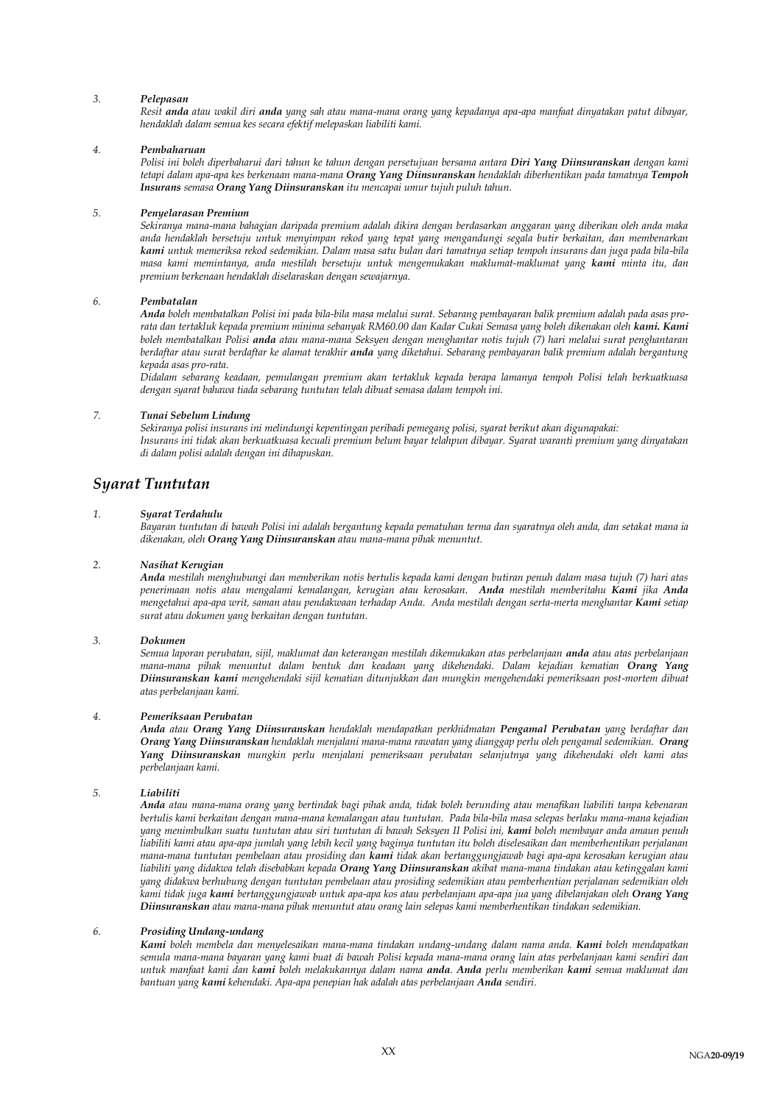#### *3. Pelepasan*

*Resit anda atau wakil diri anda yang sah atau mana-mana orang yang kepadanya apa-apa manfaat dinyatakan patut dibayar, hendaklah dalam semua kes secara efektif melepaskan liabiliti kami.*

#### *4. Pembaharuan*

*Polisi ini boleh diperbaharui dari tahun ke tahun dengan persetujuan bersama antara Diri Yang Diinsuranskan dengan kami tetapi dalam apa-apa kes berkenaan mana-mana Orang Yang Diinsuranskan hendaklah diberhentikan pada tamatnya Tempoh Insurans semasa Orang Yang Diinsuranskan itu mencapai umur tujuh puluh tahun.*

#### *5. Penyelarasan Premium*

*Sekiranya mana-mana bahagian daripada premium adalah dikira dengan berdasarkan anggaran yang diberikan oleh anda maka anda hendaklah bersetuju untuk menyimpan rekod yang tepat yang mengandungi segala butir berkaitan, dan membenarkan kami untuk memeriksa rekod sedemikian. Dalam masa satu bulan dari tamatnya setiap tempoh insurans dan juga pada bila-bila masa kami memintanya, anda mestilah bersetuju untuk mengemukakan maklumat-maklumat yang kami minta itu, dan premium berkenaan hendaklah diselaraskan dengan sewajarnya.* 

#### *6. Pembatalan*

*Anda boleh membatalkan Polisi ini pada bila-bila masa melalui surat. Sebarang pembayaran balik premium adalah pada asas prorata dan tertakluk kepada premium minima sebanyak RM60.00 dan Kadar Cukai Semasa yang boleh dikenakan oleh kami. Kami boleh membatalkan Polisi anda atau mana-mana Seksyen dengan menghantar notis tujuh (7) hari melalui surat penghantaran berdaftar atau surat berdaftar ke alamat terakhir anda yang diketahui. Sebarang pembayaran balik premium adalah bergantung kepada asas pro-rata.*

*Didalam sebarang keadaan, pemulangan premium akan tertakluk kepada berapa lamanya tempoh Polisi telah berkuatkuasa dengan syarat bahawa tiada sebarang tuntutan telah dibuat semasa dalam tempoh ini.*

#### *7. Tunai Sebelum Lindung*

*Sekiranya polisi insurans ini melindungi kepentingan peribadi pemegang polisi, syarat berikut akan digunapakai: Insurans ini tidak akan berkuatkuasa kecuali premium belum bayar telahpun dibayar. Syarat waranti premium yang dinyatakan di dalam polisi adalah dengan ini dihapuskan.*

### *Syarat Tuntutan*

#### *1. Syarat Terdahulu*

*Bayaran tuntutan di bawah Polisi ini adalah bergantung kepada pematuhan terma dan syaratnya oleh anda, dan setakat mana ia dikenakan, oleh Orang Yang Diinsuranskan atau mana-mana pihak menuntut.*

#### *2. Nasihat Kerugian*

*Anda mestilah menghubungi dan memberikan notis bertulis kepada kami dengan butiran penuh dalam masa tujuh (7) hari atas penerimaan notis atau mengalami kemalangan, kerugian atau kerosakan. Anda mestilah memberitahu Kami jika Anda mengetahui apa-apa writ, saman atau pendakwaan terhadap Anda. Anda mestilah dengan serta-merta menghantar Kami setiap surat atau dokumen yang berkaitan dengan tuntutan.*

#### *3. Dokumen*

*Semua laporan perubatan, sijil, maklumat dan keterangan mestilah dikemukakan atas perbelanjaan anda atau atas perbelanjaan mana-mana pihak menuntut dalam bentuk dan keadaan yang dikehendaki. Dalam kejadian kematian Orang Yang Diinsuranskan kami mengehendaki sijil kematian ditunjukkan dan mungkin mengehendaki pemeriksaan post-mortem dibuat atas perbelanjaan kami.* 

#### *4. Pemeriksaan Perubatan*

*Anda atau Orang Yang Diinsuranskan hendaklah mendapatkan perkhidmatan Pengamal Perubatan yang berdaftar dan Orang Yang Diinsuranskan hendaklah menjalani mana-mana rawatan yang dianggap perlu oleh pengamal sedemikian. Orang Yang Diinsuranskan mungkin perlu menjalani pemeriksaan perubatan selanjutnya yang dikehendaki oleh kami atas perbelanjaan kami.*

#### *5. Liabiliti*

*Anda atau mana-mana orang yang bertindak bagi pihak anda, tidak boleh berunding atau menafikan liabiliti tanpa kebenaran bertulis kami berkaitan dengan mana-mana kemalangan atau tuntutan. Pada bila-bila masa selepas berlaku mana-mana kejadian yang menimbulkan suatu tuntutan atau siri tuntutan di bawah Seksyen II Polisi ini, kami boleh membayar anda amaun penuh liabiliti kami atau apa-apa jumlah yang lebih kecil yang baginya tuntutan itu boleh diselesaikan dan memberhentikan perjalanan mana-mana tuntutan pembelaan atau prosiding dan kami tidak akan bertanggungjawab bagi apa-apa kerosakan kerugian atau liabiliti yang didakwa telah disebabkan kepada Orang Yang Diinsuranskan akibat mana-mana tindakan atau ketinggalan kami yang didakwa berhubung dengan tuntutan pembelaan atau prosiding sedemikian atau pemberhentian perjalanan sedemikian oleh kami tidak juga kami bertanggungjawab untuk apa-apa kos atau perbelanjaan apa-apa jua yang dibelanjakan oleh Orang Yang Diinsuranskan atau mana-mana pihak menuntut atau orang lain selepas kami memberhentikan tindakan sedemikian.*

#### *6. Prosiding Undang-undang*

*Kami boleh membela dan menyelesaikan mana-mana tindakan undang-undang dalam nama anda. Kami boleh mendapatkan semula mana-mana bayaran yang kami buat di bawah Polisi kepada mana-mana orang lain atas perbelanjaan kami sendiri dan untuk manfaat kami dan kami boleh melakukannya dalam nama anda. Anda perlu memberikan kami semua maklumat dan bantuan yang kami kehendaki. Apa-apa penepian hak adalah atas perbelanjaan Anda sendiri.*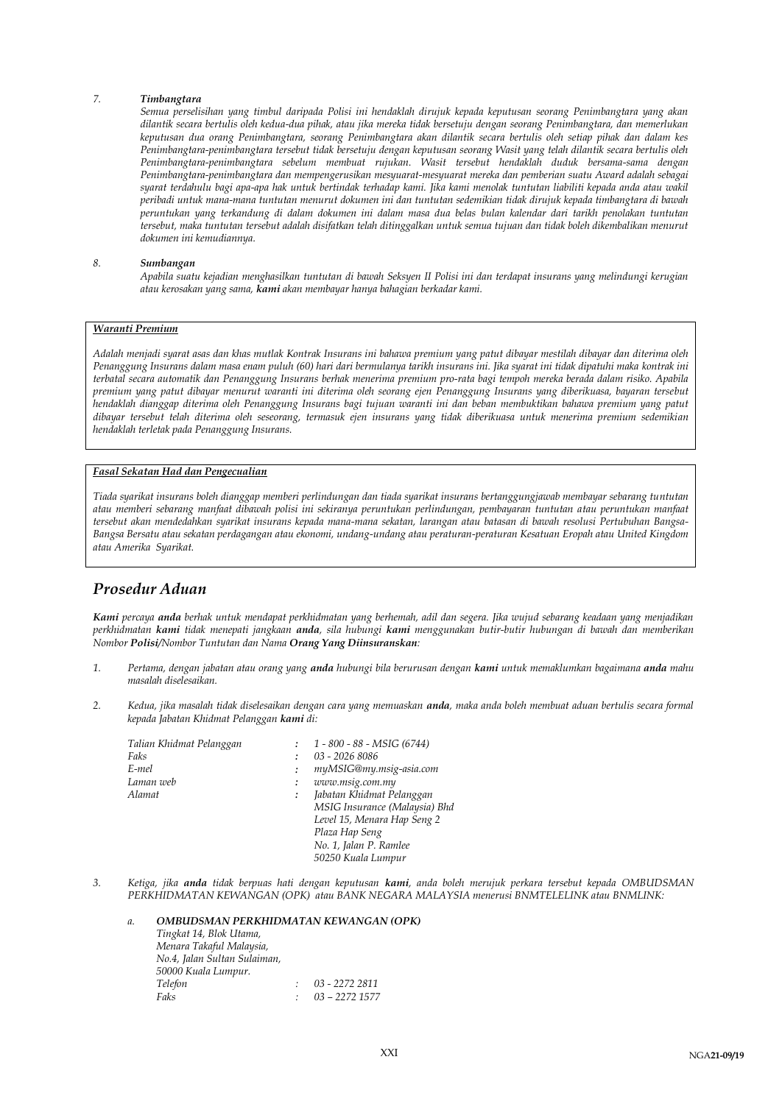#### *7. Timbangtara*

*Semua perselisihan yang timbul daripada Polisi ini hendaklah dirujuk kepada keputusan seorang Penimbangtara yang akan dilantik secara bertulis oleh kedua-dua pihak, atau jika mereka tidak bersetuju dengan seorang Penimbangtara, dan memerlukan keputusan dua orang Penimbangtara, seorang Penimbangtara akan dilantik secara bertulis oleh setiap pihak dan dalam kes Penimbangtara-penimbangtara tersebut tidak bersetuju dengan keputusan seorang Wasit yang telah dilantik secara bertulis oleh Penimbangtara-penimbangtara sebelum membuat rujukan. Wasit tersebut hendaklah duduk bersama-sama dengan Penimbangtara-penimbangtara dan mempengerusikan mesyuarat-mesyuarat mereka dan pemberian suatu Award adalah sebagai syarat terdahulu bagi apa-apa hak untuk bertindak terhadap kami. Jika kami menolak tuntutan liabiliti kepada anda atau wakil peribadi untuk mana-mana tuntutan menurut dokumen ini dan tuntutan sedemikian tidak dirujuk kepada timbangtara di bawah peruntukan yang terkandung di dalam dokumen ini dalam masa dua belas bulan kalendar dari tarikh penolakan tuntutan tersebut, maka tuntutan tersebut adalah disifatkan telah ditinggalkan untuk semua tujuan dan tidak boleh dikembalikan menurut dokumen ini kemudiannya.*

#### *8. Sumbangan*

*Apabila suatu kejadian menghasilkan tuntutan di bawah Seksyen II Polisi ini dan terdapat insurans yang melindungi kerugian atau kerosakan yang sama, kami akan membayar hanya bahagian berkadar kami.*

#### *Waranti Premium*

*Adalah menjadi syarat asas dan khas mutlak Kontrak Insurans ini bahawa premium yang patut dibayar mestilah dibayar dan diterima oleh Penanggung Insurans dalam masa enam puluh (60) hari dari bermulanya tarikh insurans ini. Jika syarat ini tidak dipatuhi maka kontrak ini terbatal secara automatik dan Penanggung Insurans berhak menerima premium pro-rata bagi tempoh mereka berada dalam risiko. Apabila premium yang patut dibayar menurut waranti ini diterima oleh seorang ejen Penanggung Insurans yang diberikuasa, bayaran tersebut hendaklah dianggap diterima oleh Penanggung Insurans bagi tujuan waranti ini dan beban membuktikan bahawa premium yang patut dibayar tersebut telah diterima oleh seseorang, termasuk ejen insurans yang tidak diberikuasa untuk menerima premium sedemikian hendaklah terletak pada Penanggung Insurans.*

#### *Fasal Sekatan Had dan Pengecualian*

*Tiada syarikat insurans boleh dianggap memberi perlindungan dan tiada syarikat insurans bertanggungjawab membayar sebarang tuntutan atau memberi sebarang manfaat dibawah polisi ini sekiranya peruntukan perlindungan, pembayaran tuntutan atau peruntukan manfaat tersebut akan mendedahkan syarikat insurans kepada mana-mana sekatan, larangan atau batasan di bawah resolusi Pertubuhan Bangsa-Bangsa Bersatu atau sekatan perdagangan atau ekonomi, undang-undang atau peraturan-peraturan Kesatuan Eropah atau United Kingdom atau Amerika Syarikat.*

### *Prosedur Aduan*

*Kami percaya anda berhak untuk mendapat perkhidmatan yang berhemah, adil dan segera. Jika wujud sebarang keadaan yang menjadikan perkhidmatan kami tidak menepati jangkaan anda, sila hubungi kami menggunakan butir-butir hubungan di bawah dan memberikan Nombor Polisi/Nombor Tuntutan dan Nama Orang Yang Diinsuranskan:*

- *1. Pertama, dengan jabatan atau orang yang anda hubungi bila berurusan dengan kami untuk memaklumkan bagaimana anda mahu masalah diselesaikan.*
- *2. Kedua, jika masalah tidak diselesaikan dengan cara yang memuaskan anda, maka anda boleh membuat aduan bertulis secara formal kepada Jabatan Khidmat Pelanggan kami di:*

| Talian Khidmat Pelanggan |   | 1 - 800 - 88 - MSIG (6744)    |
|--------------------------|---|-------------------------------|
| Faks                     |   | 03 - 2026 8086                |
| E-mel                    |   | myMSIG@my.msig-asia.com       |
| Laman web                | ÷ | www.msig.com.my               |
| Alamat                   |   | Jabatan Khidmat Pelanggan     |
|                          |   | MSIG Insurance (Malaysia) Bhd |
|                          |   | Level 15, Menara Hap Seng 2   |
|                          |   | Plaza Hap Seng                |
|                          |   | No. 1, Jalan P. Ramlee        |
|                          |   | 50250 Kuala Lumpur            |

*3. Ketiga, jika anda tidak berpuas hati dengan keputusan kami, anda boleh merujuk perkara tersebut kepada OMBUDSMAN PERKHIDMATAN KEWANGAN (OPK) atau BANK NEGARA MALAYSIA menerusi BNMTELELINK atau BNMLINK:*

| a. | OMBUDSMAN PERKHIDMATAN KEWANGAN (OPK) |                  |
|----|---------------------------------------|------------------|
|    | Tingkat 14, Blok Utama,               |                  |
|    | Menara Takaful Malaysia,              |                  |
|    | No.4, Jalan Sultan Sulaiman,          |                  |
|    | 50000 Kuala Lumpur.                   |                  |
|    | Telefon                               | 03 - 2272 2811   |
|    | Faks                                  | $03 - 2272$ 1577 |
|    |                                       |                  |